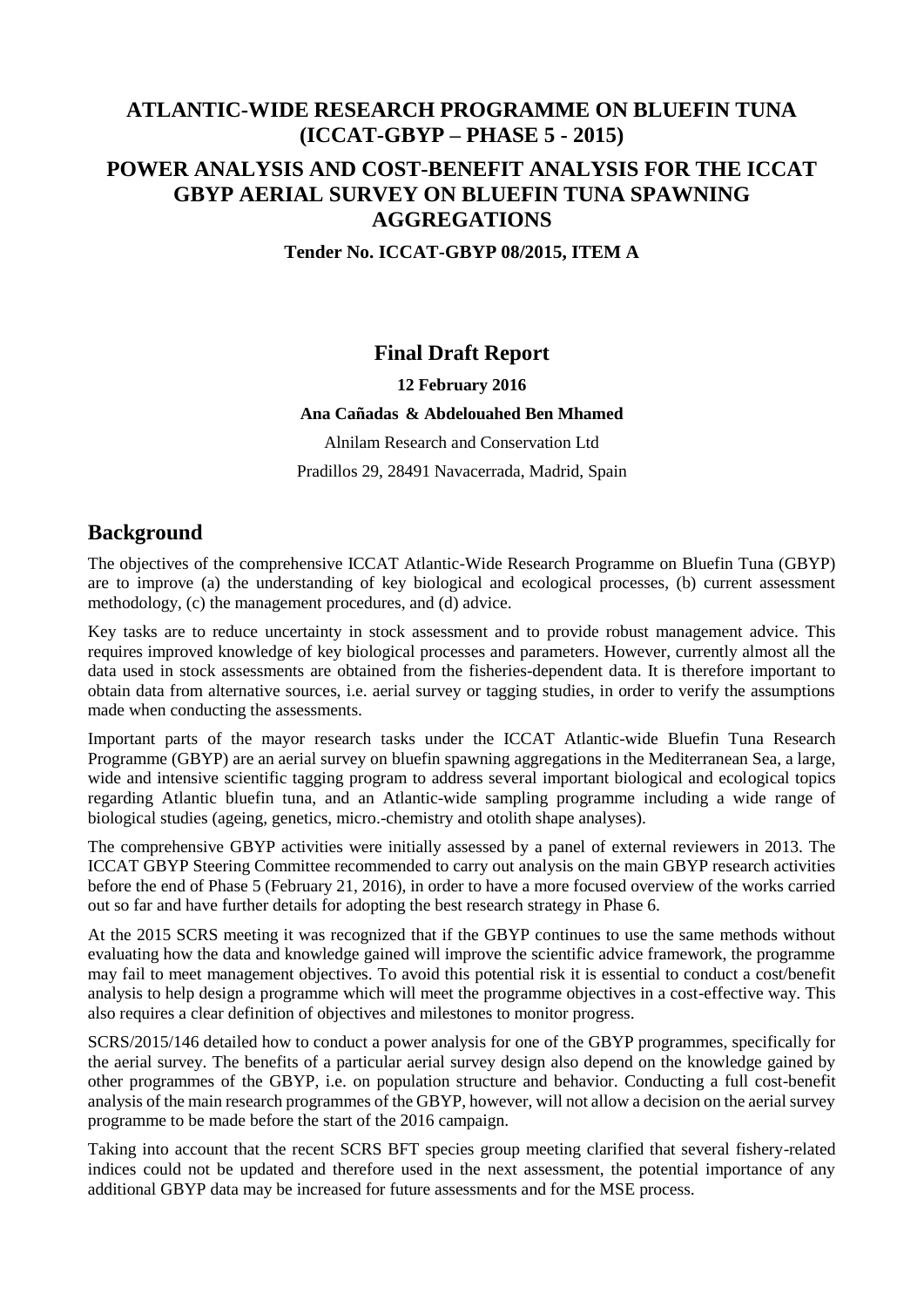# **ATLANTIC-WIDE RESEARCH PROGRAMME ON BLUEFIN TUNA (ICCAT-GBYP – PHASE 5 - 2015) POWER ANALYSIS AND COST-BENEFIT ANALYSIS FOR THE ICCAT GBYP AERIAL SURVEY ON BLUEFIN TUNA SPAWNING AGGREGATIONS**

**Tender No. ICCAT-GBYP 08/2015, ITEM A**

## **Final Draft Report**

#### **12 February 2016**

#### **Ana Cañadas & Abdelouahed Ben Mhamed**

Alnilam Research and Conservation Ltd Pradillos 29, 28491 Navacerrada, Madrid, Spain

### **Background**

The objectives of the comprehensive ICCAT Atlantic-Wide Research Programme on Bluefin Tuna (GBYP) are to improve (a) the understanding of key biological and ecological processes, (b) current assessment methodology, (c) the management procedures, and (d) advice.

Key tasks are to reduce uncertainty in stock assessment and to provide robust management advice. This requires improved knowledge of key biological processes and parameters. However, currently almost all the data used in stock assessments are obtained from the fisheries-dependent data. It is therefore important to obtain data from alternative sources, i.e. aerial survey or tagging studies, in order to verify the assumptions made when conducting the assessments.

Important parts of the mayor research tasks under the ICCAT Atlantic-wide Bluefin Tuna Research Programme (GBYP) are an aerial survey on bluefin spawning aggregations in the Mediterranean Sea, a large, wide and intensive scientific tagging program to address several important biological and ecological topics regarding Atlantic bluefin tuna, and an Atlantic-wide sampling programme including a wide range of biological studies (ageing, genetics, micro.-chemistry and otolith shape analyses).

The comprehensive GBYP activities were initially assessed by a panel of external reviewers in 2013. The ICCAT GBYP Steering Committee recommended to carry out analysis on the main GBYP research activities before the end of Phase 5 (February 21, 2016), in order to have a more focused overview of the works carried out so far and have further details for adopting the best research strategy in Phase 6.

At the 2015 SCRS meeting it was recognized that if the GBYP continues to use the same methods without evaluating how the data and knowledge gained will improve the scientific advice framework, the programme may fail to meet management objectives. To avoid this potential risk it is essential to conduct a cost/benefit analysis to help design a programme which will meet the programme objectives in a cost-effective way. This also requires a clear definition of objectives and milestones to monitor progress.

SCRS/2015/146 detailed how to conduct a power analysis for one of the GBYP programmes, specifically for the aerial survey. The benefits of a particular aerial survey design also depend on the knowledge gained by other programmes of the GBYP, i.e. on population structure and behavior. Conducting a full cost-benefit analysis of the main research programmes of the GBYP, however, will not allow a decision on the aerial survey programme to be made before the start of the 2016 campaign.

Taking into account that the recent SCRS BFT species group meeting clarified that several fishery-related indices could not be updated and therefore used in the next assessment, the potential importance of any additional GBYP data may be increased for future assessments and for the MSE process.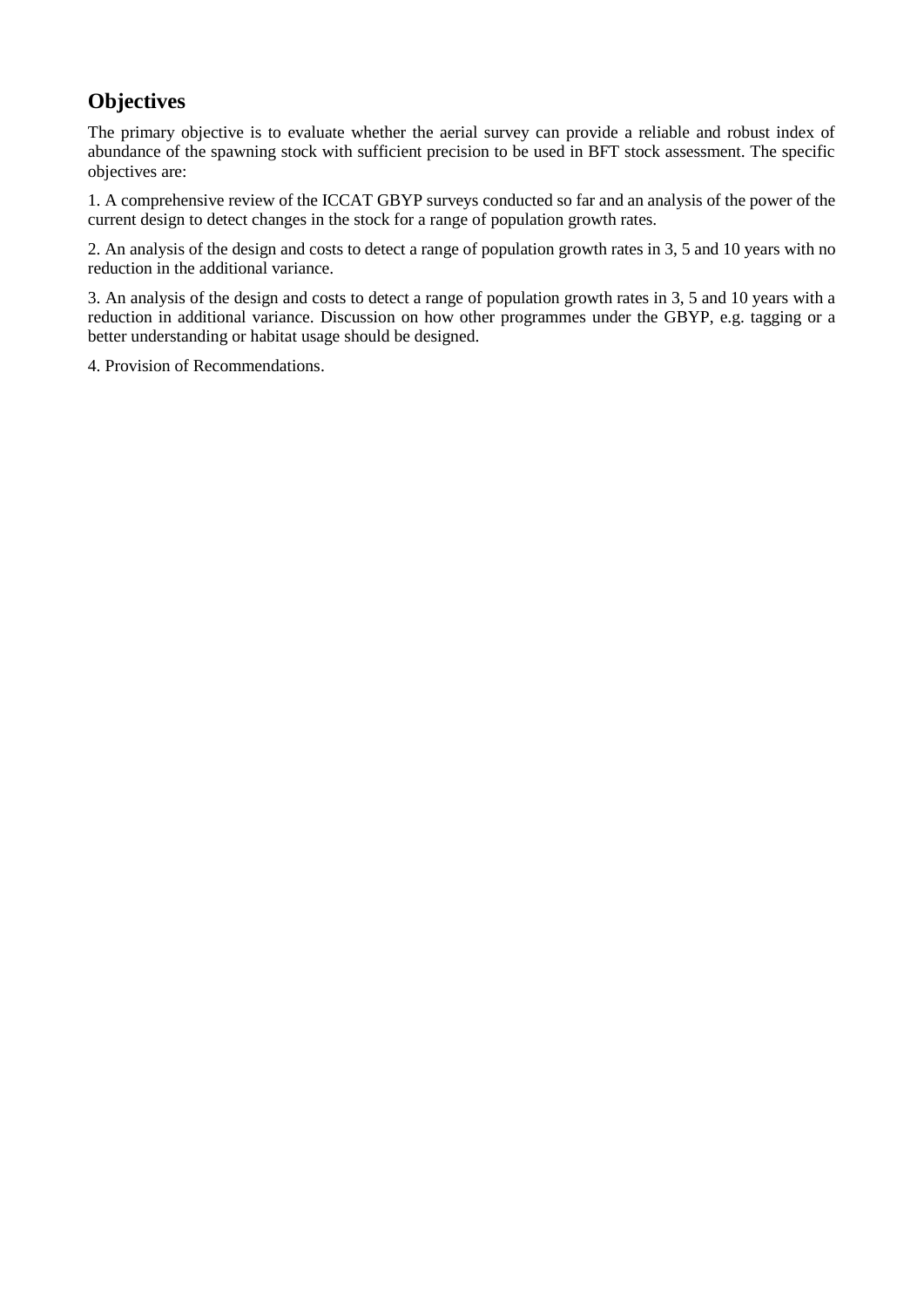# **Objectives**

The primary objective is to evaluate whether the aerial survey can provide a reliable and robust index of abundance of the spawning stock with sufficient precision to be used in BFT stock assessment. The specific objectives are:

1. A comprehensive review of the ICCAT GBYP surveys conducted so far and an analysis of the power of the current design to detect changes in the stock for a range of population growth rates.

2. An analysis of the design and costs to detect a range of population growth rates in 3, 5 and 10 years with no reduction in the additional variance.

3. An analysis of the design and costs to detect a range of population growth rates in 3, 5 and 10 years with a reduction in additional variance. Discussion on how other programmes under the GBYP, e.g. tagging or a better understanding or habitat usage should be designed.

4. Provision of Recommendations.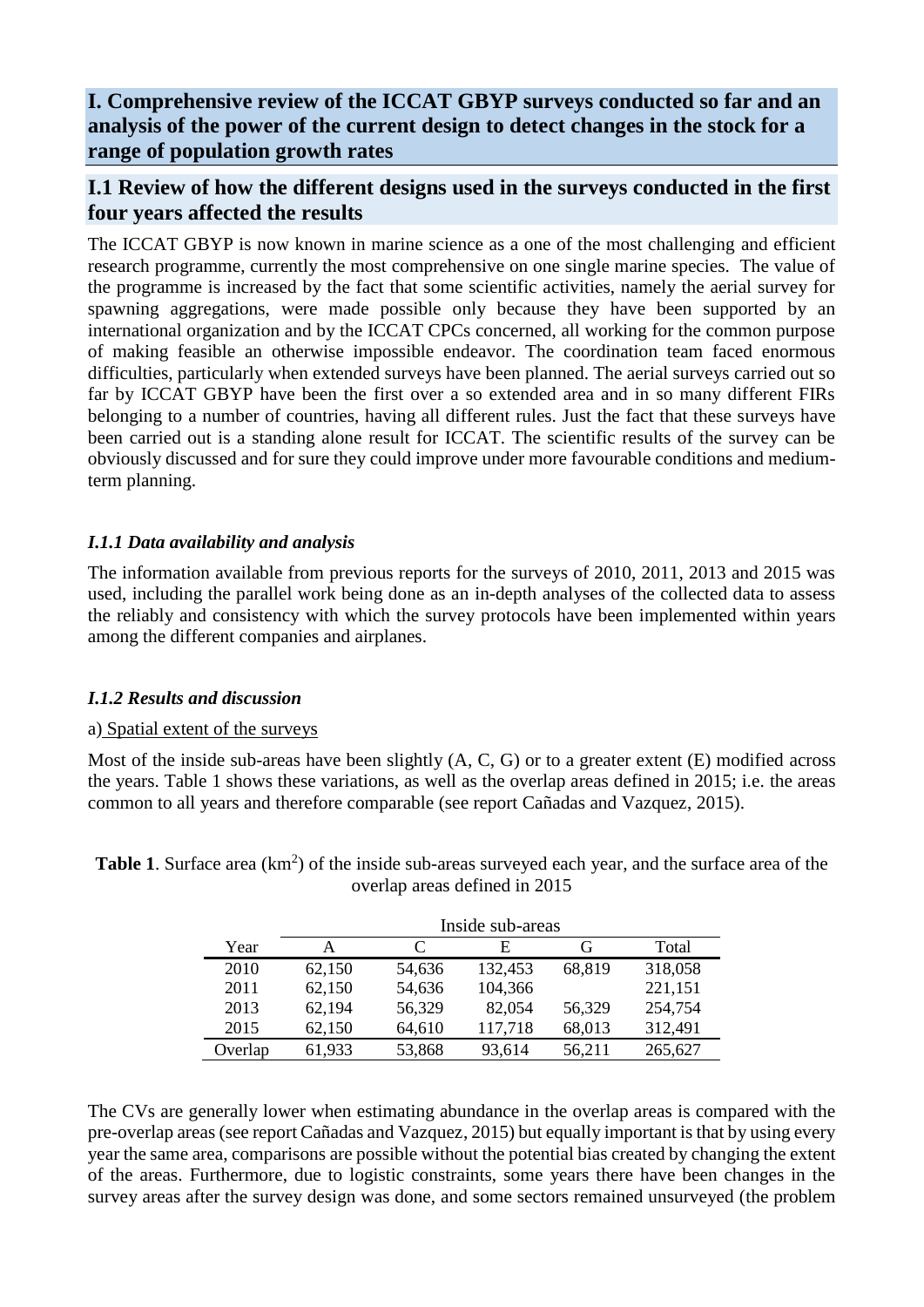# **I. Comprehensive review of the ICCAT GBYP surveys conducted so far and an analysis of the power of the current design to detect changes in the stock for a range of population growth rates**

# **I.1 Review of how the different designs used in the surveys conducted in the first four years affected the results**

The ICCAT GBYP is now known in marine science as a one of the most challenging and efficient research programme, currently the most comprehensive on one single marine species. The value of the programme is increased by the fact that some scientific activities, namely the aerial survey for spawning aggregations, were made possible only because they have been supported by an international organization and by the ICCAT CPCs concerned, all working for the common purpose of making feasible an otherwise impossible endeavor. The coordination team faced enormous difficulties, particularly when extended surveys have been planned. The aerial surveys carried out so far by ICCAT GBYP have been the first over a so extended area and in so many different FIRs belonging to a number of countries, having all different rules. Just the fact that these surveys have been carried out is a standing alone result for ICCAT. The scientific results of the survey can be obviously discussed and for sure they could improve under more favourable conditions and mediumterm planning.

### *I.1.1 Data availability and analysis*

The information available from previous reports for the surveys of 2010, 2011, 2013 and 2015 was used, including the parallel work being done as an in-depth analyses of the collected data to assess the reliably and consistency with which the survey protocols have been implemented within years among the different companies and airplanes.

### *I.1.2 Results and discussion*

### a) Spatial extent of the surveys

Most of the inside sub-areas have been slightly  $(A, C, G)$  or to a greater extent  $(E)$  modified across the years. Table 1 shows these variations, as well as the overlap areas defined in 2015; i.e. the areas common to all years and therefore comparable (see report Cañadas and Vazquez, 2015).

**Table 1**. Surface area  $(km^2)$  of the inside sub-areas surveyed each year, and the surface area of the overlap areas defined in 2015

|         | Inside sub-areas |        |         |        |         |  |  |
|---------|------------------|--------|---------|--------|---------|--|--|
| Year    | А                |        | E       | G      | Total   |  |  |
| 2010    | 62,150           | 54,636 | 132,453 | 68,819 | 318,058 |  |  |
| 2011    | 62,150           | 54,636 | 104,366 |        | 221,151 |  |  |
| 2013    | 62,194           | 56,329 | 82,054  | 56,329 | 254,754 |  |  |
| 2015    | 62,150           | 64,610 | 117,718 | 68,013 | 312,491 |  |  |
| Overlap | 61,933           | 53,868 | 93,614  | 56,211 | 265,627 |  |  |

The CVs are generally lower when estimating abundance in the overlap areas is compared with the pre-overlap areas (see report Cañadas and Vazquez, 2015) but equally important is that by using every year the same area, comparisons are possible without the potential bias created by changing the extent of the areas. Furthermore, due to logistic constraints, some years there have been changes in the survey areas after the survey design was done, and some sectors remained unsurveyed (the problem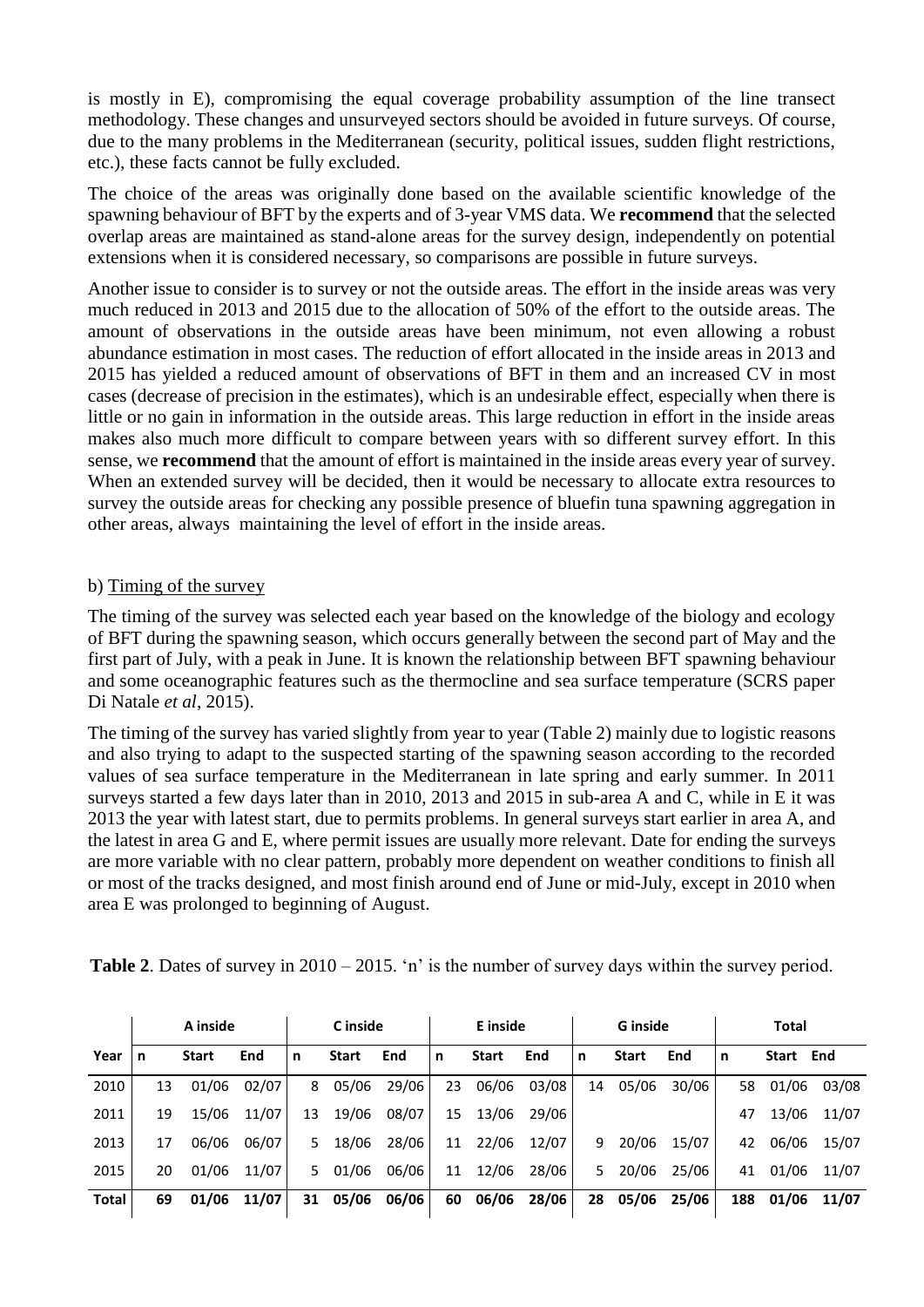is mostly in E), compromising the equal coverage probability assumption of the line transect methodology. These changes and unsurveyed sectors should be avoided in future surveys. Of course, due to the many problems in the Mediterranean (security, political issues, sudden flight restrictions, etc.), these facts cannot be fully excluded.

The choice of the areas was originally done based on the available scientific knowledge of the spawning behaviour of BFT by the experts and of 3-year VMS data. We **recommend** that the selected overlap areas are maintained as stand-alone areas for the survey design, independently on potential extensions when it is considered necessary, so comparisons are possible in future surveys.

Another issue to consider is to survey or not the outside areas. The effort in the inside areas was very much reduced in 2013 and 2015 due to the allocation of 50% of the effort to the outside areas. The amount of observations in the outside areas have been minimum, not even allowing a robust abundance estimation in most cases. The reduction of effort allocated in the inside areas in 2013 and 2015 has yielded a reduced amount of observations of BFT in them and an increased CV in most cases (decrease of precision in the estimates), which is an undesirable effect, especially when there is little or no gain in information in the outside areas. This large reduction in effort in the inside areas makes also much more difficult to compare between years with so different survey effort. In this sense, we **recommend** that the amount of effort is maintained in the inside areas every year of survey. When an extended survey will be decided, then it would be necessary to allocate extra resources to survey the outside areas for checking any possible presence of bluefin tuna spawning aggregation in other areas, always maintaining the level of effort in the inside areas.

#### b) Timing of the survey

The timing of the survey was selected each year based on the knowledge of the biology and ecology of BFT during the spawning season, which occurs generally between the second part of May and the first part of July, with a peak in June. It is known the relationship between BFT spawning behaviour and some oceanographic features such as the thermocline and sea surface temperature (SCRS paper Di Natale *et al*, 2015).

The timing of the survey has varied slightly from year to year (Table 2) mainly due to logistic reasons and also trying to adapt to the suspected starting of the spawning season according to the recorded values of sea surface temperature in the Mediterranean in late spring and early summer. In 2011 surveys started a few days later than in 2010, 2013 and 2015 in sub-area A and C, while in E it was 2013 the year with latest start, due to permits problems. In general surveys start earlier in area A, and the latest in area G and E, where permit issues are usually more relevant. Date for ending the surveys are more variable with no clear pattern, probably more dependent on weather conditions to finish all or most of the tracks designed, and most finish around end of June or mid-July, except in 2010 when area E was prolonged to beginning of August.

**Table 2**. Dates of survey in 2010 – 2015. 'n' is the number of survey days within the survey period.

|              |    | A inside     |       |    | C inside     |            |    | E inside     |       |    | <b>G</b> inside |       |     | Total     |             |
|--------------|----|--------------|-------|----|--------------|------------|----|--------------|-------|----|-----------------|-------|-----|-----------|-------------|
| Year         | n  | <b>Start</b> | End   | n  | <b>Start</b> | <b>End</b> | n  | <b>Start</b> | End   | n  | <b>Start</b>    | End   | n   | Start End |             |
| 2010         | 13 | 01/06        | 02/07 | 8  | 05/06        | 29/06      | 23 | 06/06        | 03/08 | 14 | 05/06           | 30/06 | 58  | 01/06     | 03/08       |
| 2011         | 19 | 15/06        | 11/07 | 13 | 19/06        | 08/07      | 15 | 13/06        | 29/06 |    |                 |       | 47  | 13/06     | 11/07       |
| 2013         | 17 | 06/06        | 06/07 | 5. | 18/06        | 28/06      | 11 | 22/06        | 12/07 | 9  | 20/06           | 15/07 | 42  | 06/06     | 15/07       |
| 2015         | 20 | 01/06        | 11/07 | 5. | 01/06        | 06/06      | 11 | 12/06        | 28/06 | 5. | 20/06           | 25/06 | 41  |           | 01/06 11/07 |
| <b>Total</b> | 69 | 01/06        | 11/07 | 31 | 05/06        | 06/06      | 60 | 06/06        | 28/06 | 28 | 05/06           | 25/06 | 188 | 01/06     | 11/07       |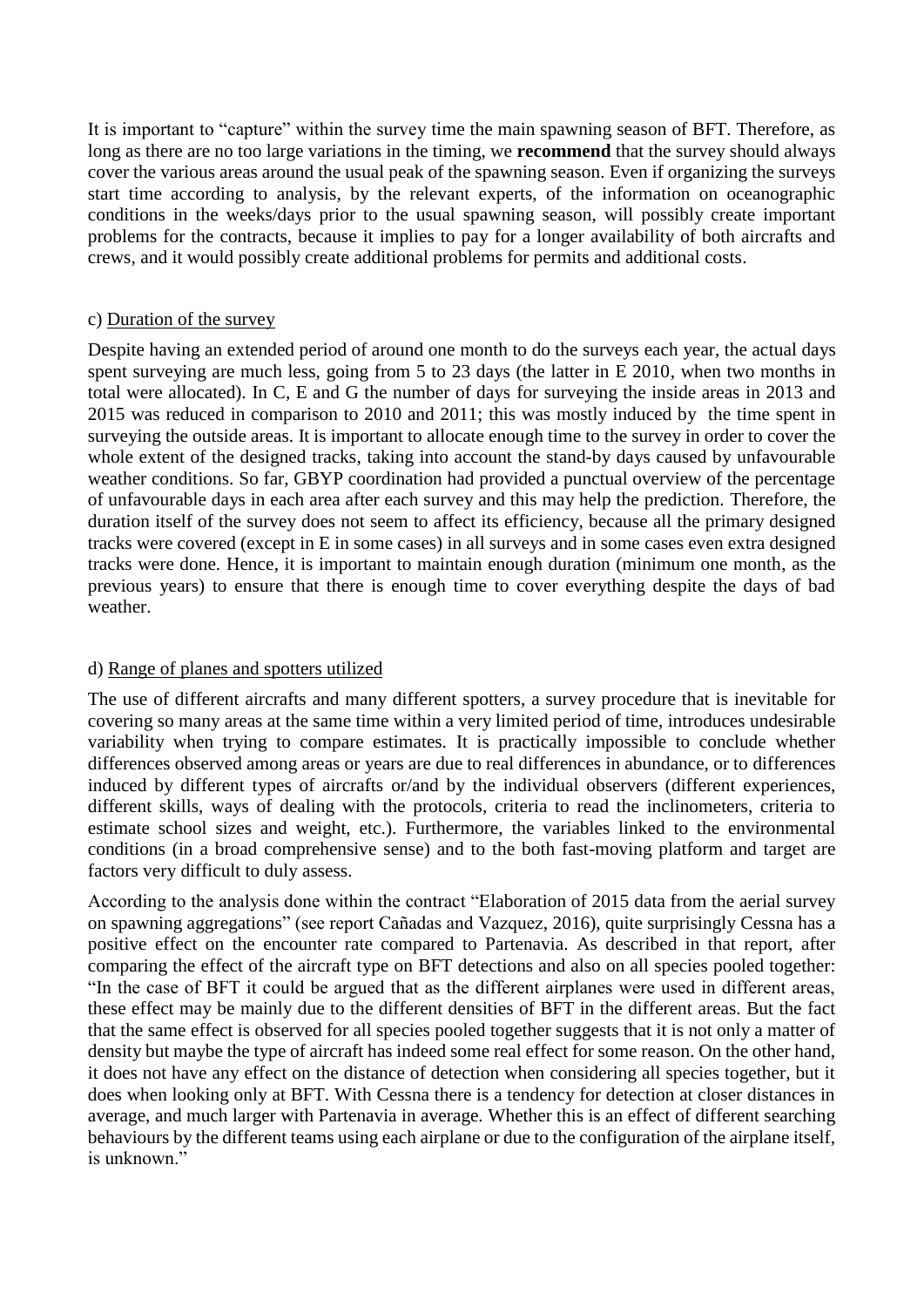It is important to "capture" within the survey time the main spawning season of BFT. Therefore, as long as there are no too large variations in the timing, we **recommend** that the survey should always cover the various areas around the usual peak of the spawning season. Even if organizing the surveys start time according to analysis, by the relevant experts, of the information on oceanographic conditions in the weeks/days prior to the usual spawning season, will possibly create important problems for the contracts, because it implies to pay for a longer availability of both aircrafts and crews, and it would possibly create additional problems for permits and additional costs.

### c) Duration of the survey

Despite having an extended period of around one month to do the surveys each year, the actual days spent surveying are much less, going from 5 to 23 days (the latter in E 2010, when two months in total were allocated). In C, E and G the number of days for surveying the inside areas in 2013 and 2015 was reduced in comparison to 2010 and 2011; this was mostly induced by the time spent in surveying the outside areas. It is important to allocate enough time to the survey in order to cover the whole extent of the designed tracks, taking into account the stand-by days caused by unfavourable weather conditions. So far, GBYP coordination had provided a punctual overview of the percentage of unfavourable days in each area after each survey and this may help the prediction. Therefore, the duration itself of the survey does not seem to affect its efficiency, because all the primary designed tracks were covered (except in E in some cases) in all surveys and in some cases even extra designed tracks were done. Hence, it is important to maintain enough duration (minimum one month, as the previous years) to ensure that there is enough time to cover everything despite the days of bad weather.

### d) Range of planes and spotters utilized

The use of different aircrafts and many different spotters, a survey procedure that is inevitable for covering so many areas at the same time within a very limited period of time, introduces undesirable variability when trying to compare estimates. It is practically impossible to conclude whether differences observed among areas or years are due to real differences in abundance, or to differences induced by different types of aircrafts or/and by the individual observers (different experiences, different skills, ways of dealing with the protocols, criteria to read the inclinometers, criteria to estimate school sizes and weight, etc.). Furthermore, the variables linked to the environmental conditions (in a broad comprehensive sense) and to the both fast-moving platform and target are factors very difficult to duly assess.

According to the analysis done within the contract "Elaboration of 2015 data from the aerial survey on spawning aggregations" (see report Cañadas and Vazquez, 2016), quite surprisingly Cessna has a positive effect on the encounter rate compared to Partenavia. As described in that report, after comparing the effect of the aircraft type on BFT detections and also on all species pooled together: "In the case of BFT it could be argued that as the different airplanes were used in different areas, these effect may be mainly due to the different densities of BFT in the different areas. But the fact that the same effect is observed for all species pooled together suggests that it is not only a matter of density but maybe the type of aircraft has indeed some real effect for some reason. On the other hand, it does not have any effect on the distance of detection when considering all species together, but it does when looking only at BFT. With Cessna there is a tendency for detection at closer distances in average, and much larger with Partenavia in average. Whether this is an effect of different searching behaviours by the different teams using each airplane or due to the configuration of the airplane itself, is unknown."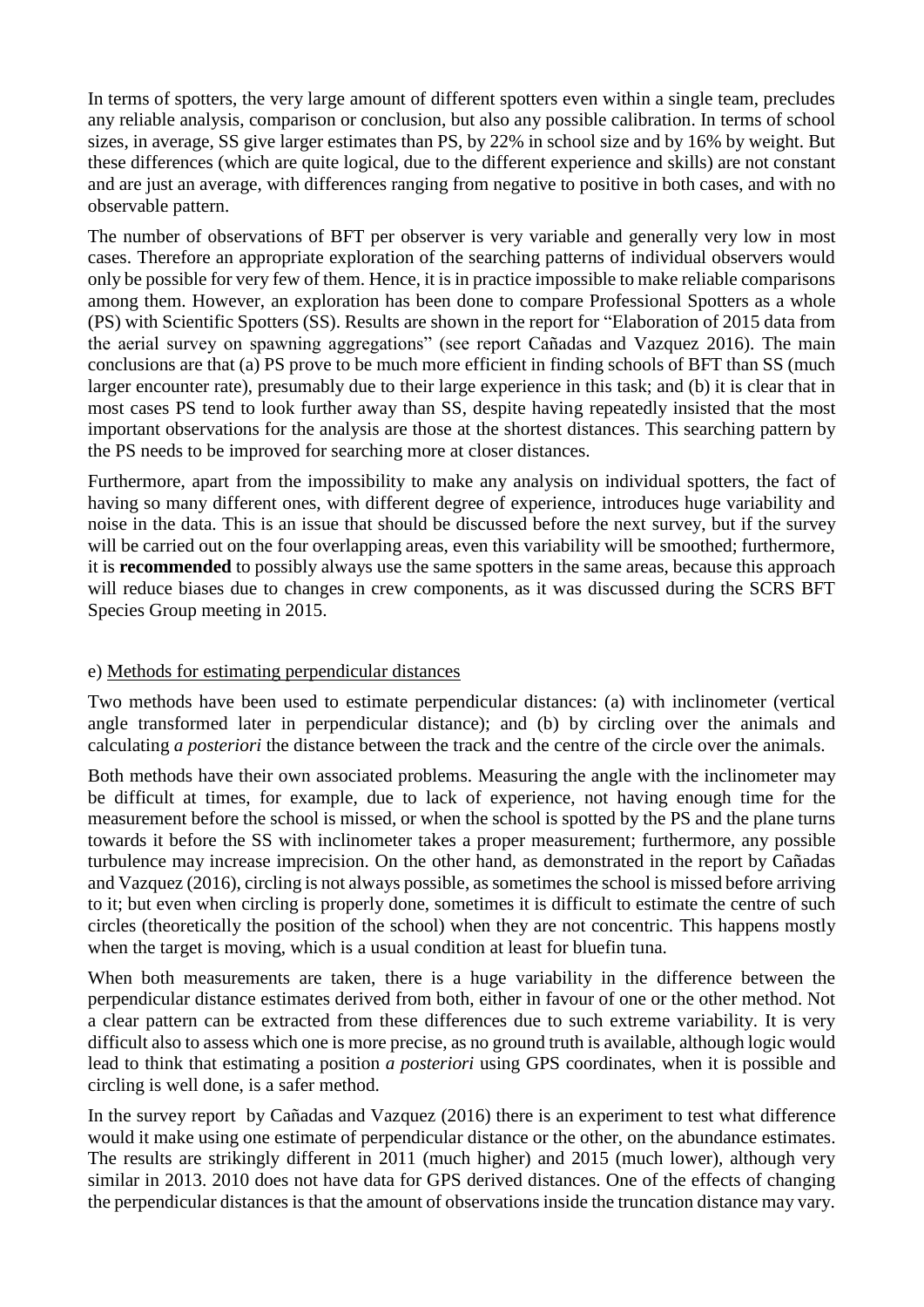In terms of spotters, the very large amount of different spotters even within a single team, precludes any reliable analysis, comparison or conclusion, but also any possible calibration. In terms of school sizes, in average, SS give larger estimates than PS, by 22% in school size and by 16% by weight. But these differences (which are quite logical, due to the different experience and skills) are not constant and are just an average, with differences ranging from negative to positive in both cases, and with no observable pattern.

The number of observations of BFT per observer is very variable and generally very low in most cases. Therefore an appropriate exploration of the searching patterns of individual observers would only be possible for very few of them. Hence, it is in practice impossible to make reliable comparisons among them. However, an exploration has been done to compare Professional Spotters as a whole (PS) with Scientific Spotters (SS). Results are shown in the report for "Elaboration of 2015 data from the aerial survey on spawning aggregations" (see report Cañadas and Vazquez 2016). The main conclusions are that (a) PS prove to be much more efficient in finding schools of BFT than SS (much larger encounter rate), presumably due to their large experience in this task; and (b) it is clear that in most cases PS tend to look further away than SS, despite having repeatedly insisted that the most important observations for the analysis are those at the shortest distances. This searching pattern by the PS needs to be improved for searching more at closer distances.

Furthermore, apart from the impossibility to make any analysis on individual spotters, the fact of having so many different ones, with different degree of experience, introduces huge variability and noise in the data. This is an issue that should be discussed before the next survey, but if the survey will be carried out on the four overlapping areas, even this variability will be smoothed; furthermore, it is **recommended** to possibly always use the same spotters in the same areas, because this approach will reduce biases due to changes in crew components, as it was discussed during the SCRS BFT Species Group meeting in 2015.

### e) Methods for estimating perpendicular distances

Two methods have been used to estimate perpendicular distances: (a) with inclinometer (vertical angle transformed later in perpendicular distance); and (b) by circling over the animals and calculating *a posteriori* the distance between the track and the centre of the circle over the animals.

Both methods have their own associated problems. Measuring the angle with the inclinometer may be difficult at times, for example, due to lack of experience, not having enough time for the measurement before the school is missed, or when the school is spotted by the PS and the plane turns towards it before the SS with inclinometer takes a proper measurement; furthermore, any possible turbulence may increase imprecision. On the other hand, as demonstrated in the report by Cañadas and Vazquez (2016), circling is not always possible, as sometimes the school is missed before arriving to it; but even when circling is properly done, sometimes it is difficult to estimate the centre of such circles (theoretically the position of the school) when they are not concentric. This happens mostly when the target is moving, which is a usual condition at least for bluefin tuna.

When both measurements are taken, there is a huge variability in the difference between the perpendicular distance estimates derived from both, either in favour of one or the other method. Not a clear pattern can be extracted from these differences due to such extreme variability. It is very difficult also to assess which one is more precise, as no ground truth is available, although logic would lead to think that estimating a position *a posteriori* using GPS coordinates, when it is possible and circling is well done, is a safer method.

In the survey report by Cañadas and Vazquez (2016) there is an experiment to test what difference would it make using one estimate of perpendicular distance or the other, on the abundance estimates. The results are strikingly different in 2011 (much higher) and 2015 (much lower), although very similar in 2013. 2010 does not have data for GPS derived distances. One of the effects of changing the perpendicular distances is that the amount of observations inside the truncation distance may vary.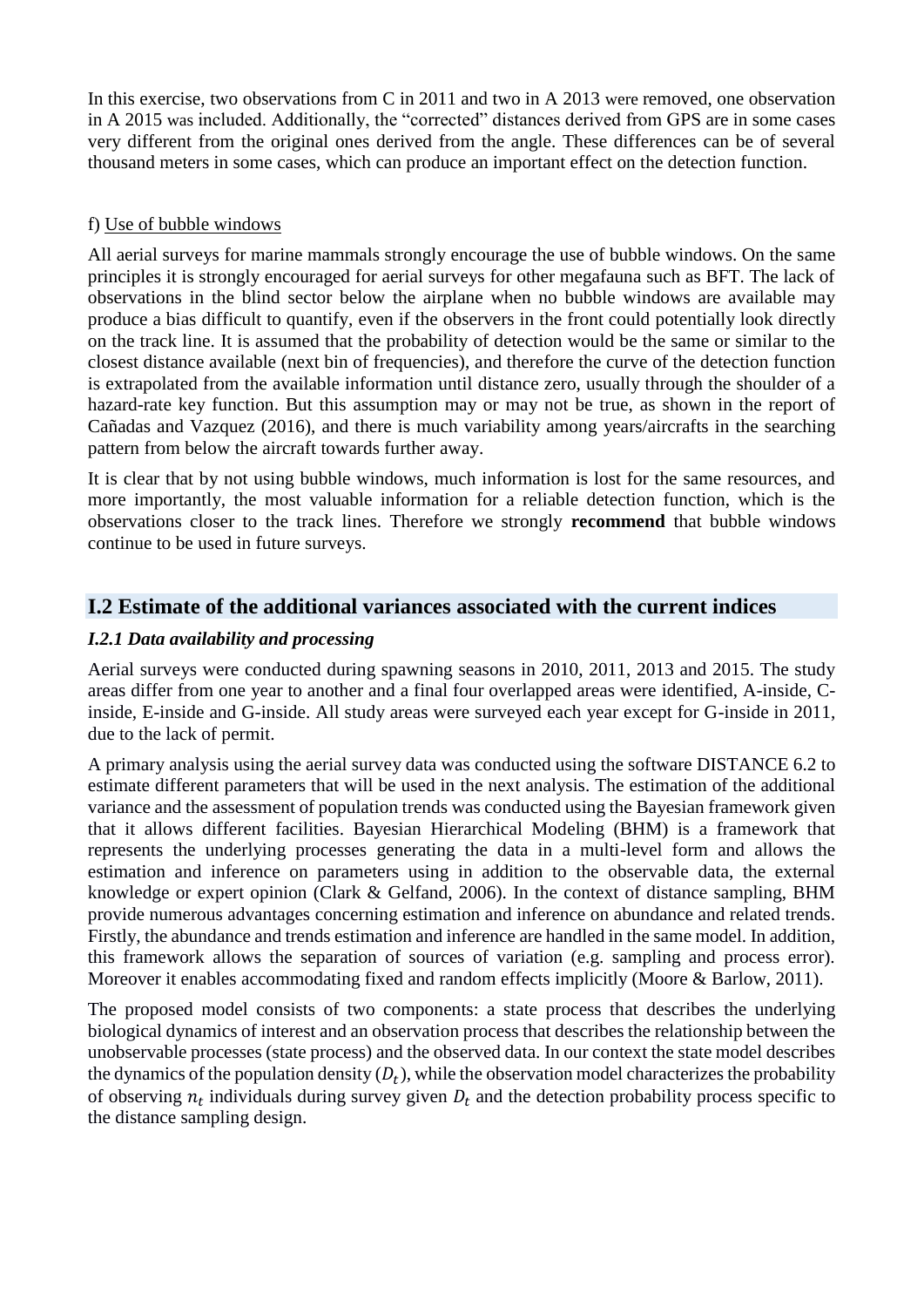In this exercise, two observations from C in 2011 and two in A 2013 were removed, one observation in A 2015 was included. Additionally, the "corrected" distances derived from GPS are in some cases very different from the original ones derived from the angle. These differences can be of several thousand meters in some cases, which can produce an important effect on the detection function.

### f) Use of bubble windows

All aerial surveys for marine mammals strongly encourage the use of bubble windows. On the same principles it is strongly encouraged for aerial surveys for other megafauna such as BFT. The lack of observations in the blind sector below the airplane when no bubble windows are available may produce a bias difficult to quantify, even if the observers in the front could potentially look directly on the track line. It is assumed that the probability of detection would be the same or similar to the closest distance available (next bin of frequencies), and therefore the curve of the detection function is extrapolated from the available information until distance zero, usually through the shoulder of a hazard-rate key function. But this assumption may or may not be true, as shown in the report of Cañadas and Vazquez (2016), and there is much variability among years/aircrafts in the searching pattern from below the aircraft towards further away.

It is clear that by not using bubble windows, much information is lost for the same resources, and more importantly, the most valuable information for a reliable detection function, which is the observations closer to the track lines. Therefore we strongly **recommend** that bubble windows continue to be used in future surveys.

## **I.2 Estimate of the additional variances associated with the current indices**

### *I.2.1 Data availability and processing*

Aerial surveys were conducted during spawning seasons in 2010, 2011, 2013 and 2015. The study areas differ from one year to another and a final four overlapped areas were identified, A-inside, Cinside, E-inside and G-inside. All study areas were surveyed each year except for G-inside in 2011, due to the lack of permit.

A primary analysis using the aerial survey data was conducted using the software DISTANCE 6.2 to estimate different parameters that will be used in the next analysis. The estimation of the additional variance and the assessment of population trends was conducted using the Bayesian framework given that it allows different facilities. Bayesian Hierarchical Modeling (BHM) is a framework that represents the underlying processes generating the data in a multi-level form and allows the estimation and inference on parameters using in addition to the observable data, the external knowledge or expert opinion (Clark & Gelfand, 2006). In the context of distance sampling, BHM provide numerous advantages concerning estimation and inference on abundance and related trends. Firstly, the abundance and trends estimation and inference are handled in the same model. In addition, this framework allows the separation of sources of variation (e.g. sampling and process error). Moreover it enables accommodating fixed and random effects implicitly (Moore & Barlow, 2011).

The proposed model consists of two components: a state process that describes the underlying biological dynamics of interest and an observation process that describes the relationship between the unobservable processes (state process) and the observed data. In our context the state model describes the dynamics of the population density  $(D_t)$ , while the observation model characterizes the probability of observing  $n_t$  individuals during survey given  $D_t$  and the detection probability process specific to the distance sampling design.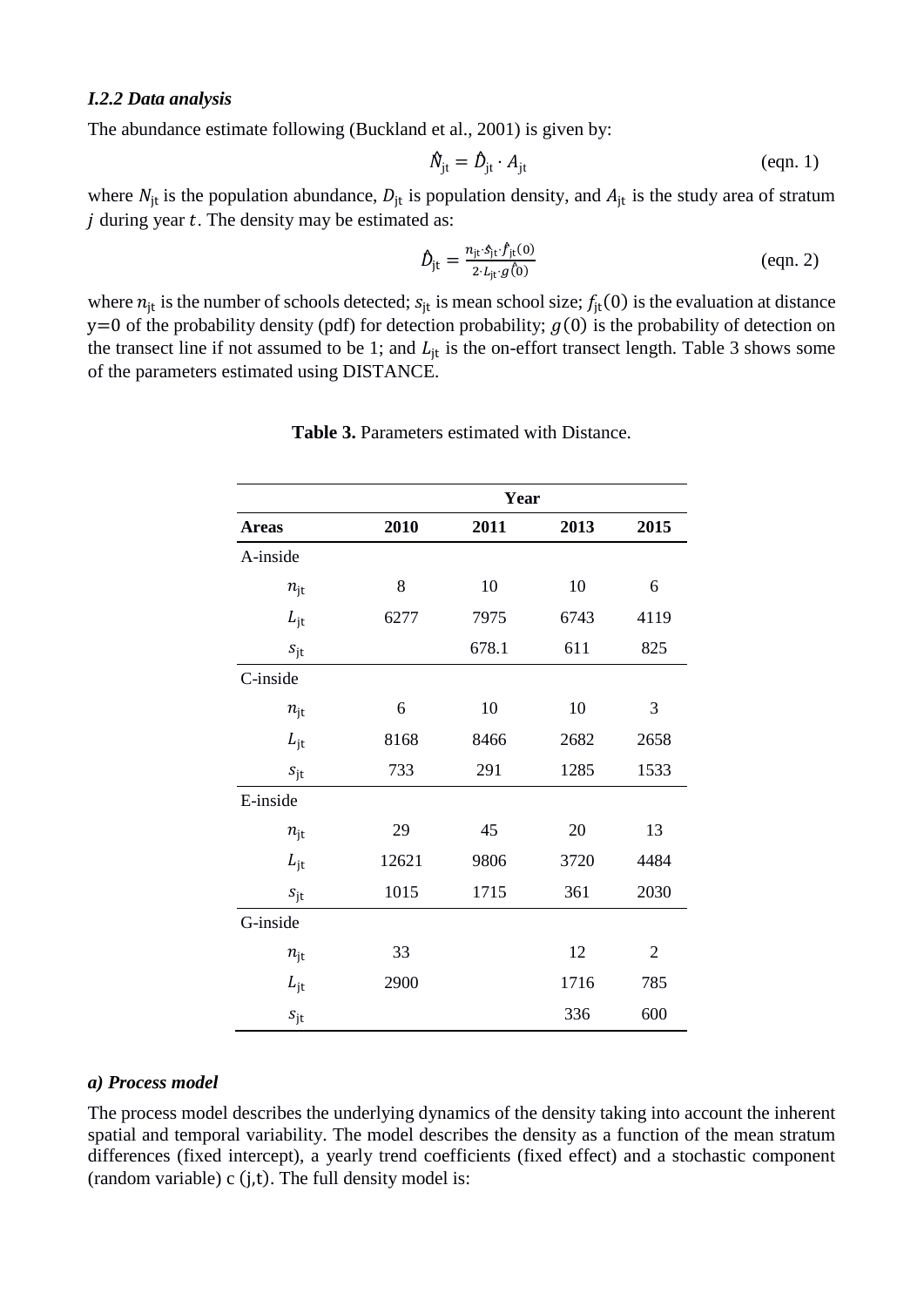#### *I.2.2 Data analysis*

The abundance estimate following (Buckland et al., 2001) is given by:

$$
\hat{N}_{jt} = \hat{D}_{jt} \cdot A_{jt} \tag{eqn. 1}
$$

where  $N_{it}$  is the population abundance,  $D_{it}$  is population density, and  $A_{it}$  is the study area of stratum  $j$  during year  $t$ . The density may be estimated as:

$$
\hat{D}_{jt} = \frac{n_{jt} \cdot \hat{S}_{jt} \cdot \hat{f}_{jt}(0)}{2 \cdot L_{jt} \cdot g(0)}
$$
 (eqn. 2)

where  $n_{it}$  is the number of schools detected;  $s_{it}$  is mean school size;  $f_{it}(0)$  is the evaluation at distance y=0 of the probability density (pdf) for detection probability;  $g(0)$  is the probability of detection on the transect line if not assumed to be 1; and  $L_{it}$  is the on-effort transect length. Table 3 shows some of the parameters estimated using DISTANCE.

|               |       | Year  |      |                |
|---------------|-------|-------|------|----------------|
| <b>Areas</b>  | 2010  | 2011  | 2013 | 2015           |
| A-inside      |       |       |      |                |
| $n_{\rm{jt}}$ | 8     | 10    | 10   | 6              |
| $L_{\rm it}$  | 6277  | 7975  | 6743 | 4119           |
| $s_{jt}$      |       | 678.1 | 611  | 825            |
| C-inside      |       |       |      |                |
| $n_{\rm{jt}}$ | 6     | 10    | 10   | 3              |
| $L_{\rm it}$  | 8168  | 8466  | 2682 | 2658           |
| $s_{jt}$      | 733   | 291   | 1285 | 1533           |
| E-inside      |       |       |      |                |
| $n_{\rm{jt}}$ | 29    | 45    | 20   | 13             |
| $L_{\rm it}$  | 12621 | 9806  | 3720 | 4484           |
| $s_{jt}$      | 1015  | 1715  | 361  | 2030           |
| G-inside      |       |       |      |                |
| $n_{\rm{jt}}$ | 33    |       | 12   | $\overline{2}$ |
| $L_{\rm it}$  | 2900  |       | 1716 | 785            |
| $S_{\rm jt}$  |       |       | 336  | 600            |

**Table 3.** Parameters estimated with Distance.

#### *a) Process model*

The process model describes the underlying dynamics of the density taking into account the inherent spatial and temporal variability. The model describes the density as a function of the mean stratum differences (fixed intercept), a yearly trend coefficients (fixed effect) and a stochastic component (random variable)  $c$  (j,t). The full density model is: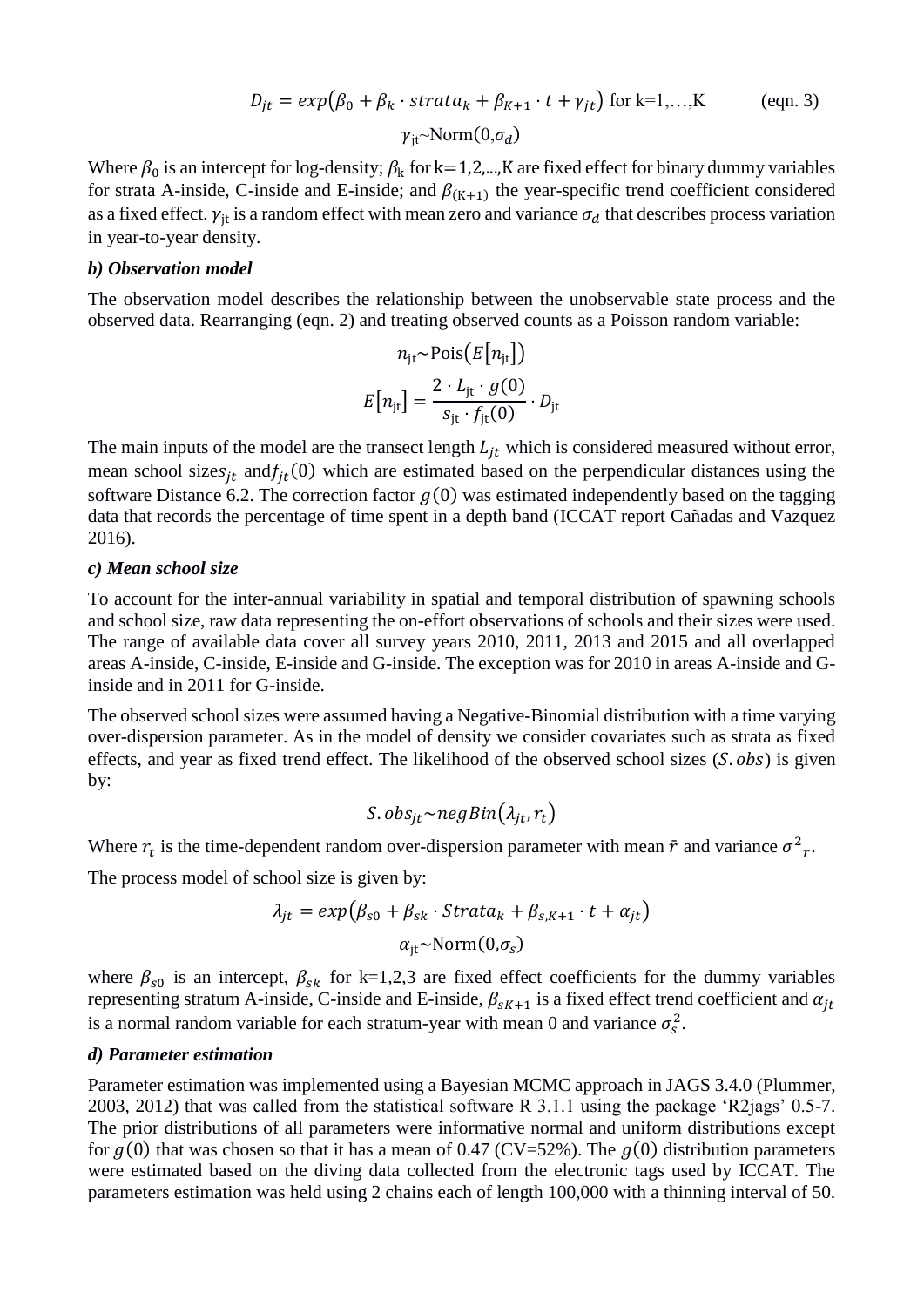$$
D_{jt} = exp(\beta_0 + \beta_k \cdot strata_k + \beta_{K+1} \cdot t + \gamma_{jt}) \text{ for k=1,...,K} \qquad \text{(eqn. 3)}
$$

$$
\gamma_{jt} \sim \text{Norm}(0, \sigma_d)
$$

Where  $\beta_0$  is an intercept for log-density;  $\beta_k$  for k=1,2,...,K are fixed effect for binary dummy variables for strata A-inside, C-inside and E-inside; and  $\beta_{(K+1)}$  the year-specific trend coefficient considered as a fixed effect.  $\gamma_{it}$  is a random effect with mean zero and variance  $\sigma_d$  that describes process variation in year-to-year density.

#### *b) Observation model*

The observation model describes the relationship between the unobservable state process and the observed data. Rearranging (eqn. 2) and treating observed counts as a Poisson random variable:

$$
n_{jt} \sim \text{Pois}(E[n_{jt}])
$$

$$
E[n_{jt}] = \frac{2 \cdot L_{jt} \cdot g(0)}{s_{jt} \cdot f_{jt}(0)} \cdot D_{jt}
$$

The main inputs of the model are the transect length  $L_{it}$  which is considered measured without error, mean school sizes<sub>it</sub> and  $f_{it}(0)$  which are estimated based on the perpendicular distances using the software Distance 6.2. The correction factor  $g(0)$  was estimated independently based on the tagging data that records the percentage of time spent in a depth band (ICCAT report Cañadas and Vazquez 2016).

#### *c) Mean school size*

To account for the inter-annual variability in spatial and temporal distribution of spawning schools and school size, raw data representing the on-effort observations of schools and their sizes were used. The range of available data cover all survey years 2010, 2011, 2013 and 2015 and all overlapped areas A-inside, C-inside, E-inside and G-inside. The exception was for 2010 in areas A-inside and Ginside and in 2011 for G-inside.

The observed school sizes were assumed having a Negative-Binomial distribution with a time varying over-dispersion parameter. As in the model of density we consider covariates such as strata as fixed effects, and year as fixed trend effect. The likelihood of the observed school sizes  $(S, obs)$  is given by:

$$
S. obs_{jt} \sim negBin(\lambda_{jt}, r_t)
$$

Where  $r_t$  is the time-dependent random over-dispersion parameter with mean  $\bar{r}$  and variance  $\sigma^2_{r}$ .

The process model of school size is given by:

$$
\lambda_{jt} = exp(\beta_{s0} + \beta_{sk} \cdot Strata_k + \beta_{s,K+1} \cdot t + \alpha_{jt})
$$

$$
\alpha_{jt} \sim \text{Norm}(0, \sigma_s)
$$

where  $\beta_{s0}$  is an intercept,  $\beta_{sk}$  for k=1,2,3 are fixed effect coefficients for the dummy variables representing stratum A-inside, C-inside and E-inside,  $\beta_{sK+1}$  is a fixed effect trend coefficient and  $\alpha_{it}$ is a normal random variable for each stratum-year with mean 0 and variance  $\sigma_s^2$ .

#### *d) Parameter estimation*

Parameter estimation was implemented using a Bayesian MCMC approach in JAGS 3.4.0 (Plummer, 2003, 2012) that was called from the statistical software R 3.1.1 using the package 'R2jags' 0.5-7. The prior distributions of all parameters were informative normal and uniform distributions except for  $q(0)$  that was chosen so that it has a mean of 0.47 (CV=52%). The  $q(0)$  distribution parameters were estimated based on the diving data collected from the electronic tags used by ICCAT. The parameters estimation was held using 2 chains each of length 100,000 with a thinning interval of 50.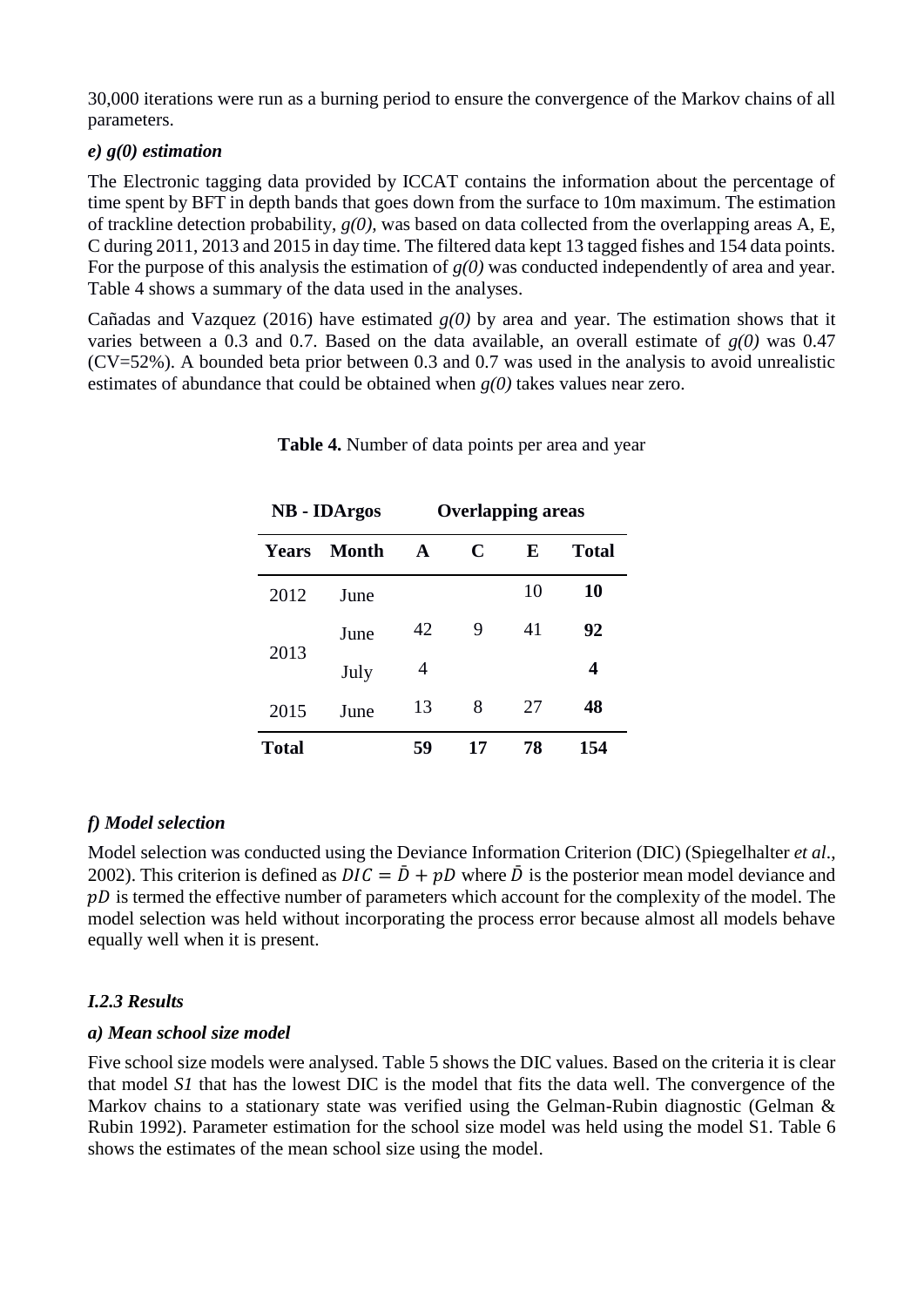30,000 iterations were run as a burning period to ensure the convergence of the Markov chains of all parameters.

### *e) g(0) estimation*

The Electronic tagging data provided by ICCAT contains the information about the percentage of time spent by BFT in depth bands that goes down from the surface to 10m maximum. The estimation of trackline detection probability, *g(0),* was based on data collected from the overlapping areas A, E, C during 2011, 2013 and 2015 in day time. The filtered data kept 13 tagged fishes and 154 data points. For the purpose of this analysis the estimation of *g(0)* was conducted independently of area and year. Table 4 shows a summary of the data used in the analyses.

Cañadas and Vazquez (2016) have estimated *g(0)* by area and year. The estimation shows that it varies between a 0.3 and 0.7. Based on the data available, an overall estimate of *g(0)* was 0.47 (CV=52%). A bounded beta prior between 0.3 and 0.7 was used in the analysis to avoid unrealistic estimates of abundance that could be obtained when *g(0)* takes values near zero.

| $\overline{1}$<br>$1.41 \times 100$ |       |              | $\sigma$ , or implementation |    |              |
|-------------------------------------|-------|--------------|------------------------------|----|--------------|
| Years                               | Month | $\mathbf{A}$ | C                            | E  | <b>Total</b> |
| 2012                                | June  |              |                              | 10 | 10           |
| 2013                                | June  | 42           | 9                            | 41 | 92           |
|                                     | July  | 4            |                              |    | 4            |
| 2015                                | June  | 13           | 8                            | 27 | 48           |
| <b>Total</b>                        |       | 59           | 17                           | 78 | 154          |

**NB - IDArgos Overlapping areas**

**Table 4.** Number of data points per area and year

### *f) Model selection*

Model selection was conducted using the Deviance Information Criterion (DIC) (Spiegelhalter *et al*., 2002). This criterion is defined as  $DIC = \bar{D} + pD$  where  $\bar{D}$  is the posterior mean model deviance and  $pD$  is termed the effective number of parameters which account for the complexity of the model. The model selection was held without incorporating the process error because almost all models behave equally well when it is present.

### *I.2.3 Results*

### *a) Mean school size model*

Five school size models were analysed. Table 5 shows the DIC values. Based on the criteria it is clear that model *S1* that has the lowest DIC is the model that fits the data well. The convergence of the Markov chains to a stationary state was verified using the Gelman-Rubin diagnostic (Gelman & Rubin 1992). Parameter estimation for the school size model was held using the model S1. Table 6 shows the estimates of the mean school size using the model.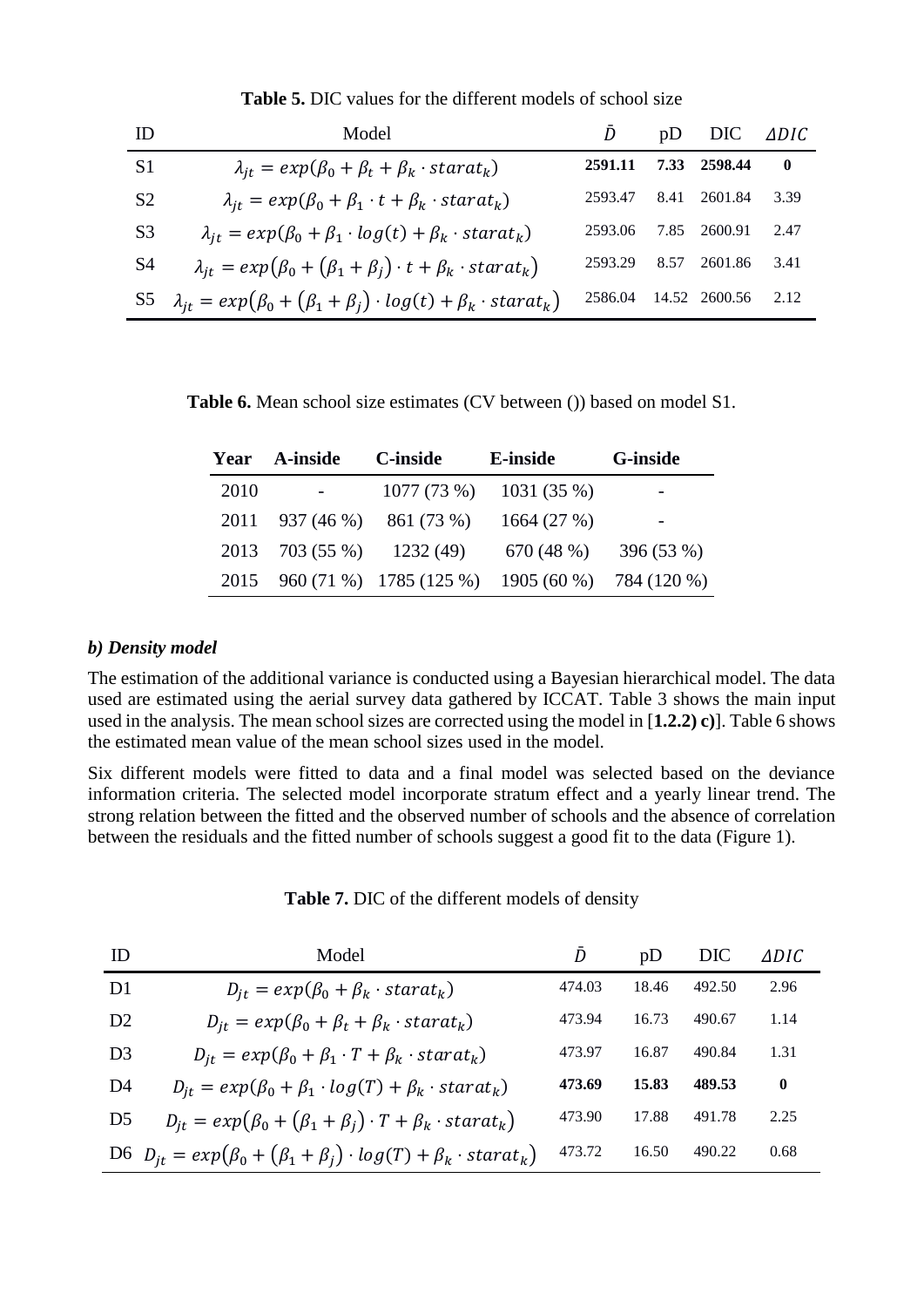| -ID            | Model                                                                                       | D       |      | pD DIC ADIC   |              |
|----------------|---------------------------------------------------------------------------------------------|---------|------|---------------|--------------|
| S <sub>1</sub> | $\lambda_{it} = exp(\beta_0 + \beta_t + \beta_k \cdot start_k)$                             | 2591.11 |      | 7.33 2598.44  | $\mathbf{0}$ |
| S <sub>2</sub> | $\lambda_{it} = exp(\beta_0 + \beta_1 \cdot t + \beta_k \cdot start_k)$                     | 2593.47 | 8.41 | 2601.84       | 3.39         |
| S <sub>3</sub> | $\lambda_{it} = exp(\beta_0 + \beta_1 \cdot log(t) + \beta_k \cdot start_k)$                | 2593.06 |      | 7.85 2600.91  | 2.47         |
| S4             | $\lambda_{it} = exp(\beta_0 + (\beta_1 + \beta_i) \cdot t + \beta_k \cdot start_k)$         | 2593.29 | 8.57 | 2601.86       | 3.41         |
|                | S5 $\lambda_{it} = exp(\beta_0 + (\beta_1 + \beta_i) \cdot log(t) + \beta_k \cdot start_k)$ | 2586.04 |      | 14.52 2600.56 | 2.12         |

**Table 5.** DIC values for the different models of school size

**Table 6.** Mean school size estimates (CV between ()) based on model S1.

| Year | A-inside | <b>C-inside</b>               | <b>E-inside</b>                                      | <b>G-inside</b>          |
|------|----------|-------------------------------|------------------------------------------------------|--------------------------|
| 2010 |          |                               | $1077(73\%)$ $1031(35\%)$                            | $\overline{\phantom{0}}$ |
|      |          |                               | 2011 937 (46 %) 861 (73 %) 1664 (27 %)               |                          |
|      |          | $2013$ $703(55\%)$ $1232(49)$ | 670 (48 %)                                           | 396 (53 %)               |
|      |          |                               | 2015 960 (71 %) 1785 (125 %) 1905 (60 %) 784 (120 %) |                          |

#### *b) Density model*

The estimation of the additional variance is conducted using a Bayesian hierarchical model. The data used are estimated using the aerial survey data gathered by ICCAT. Table 3 shows the main input used in the analysis. The mean school sizes are corrected using the model in [**1.2.2) c)**]. Table 6 shows the estimated mean value of the mean school sizes used in the model.

Six different models were fitted to data and a final model was selected based on the deviance information criteria. The selected model incorporate stratum effect and a yearly linear trend. The strong relation between the fitted and the observed number of schools and the absence of correlation between the residuals and the fitted number of schools suggest a good fit to the data (Figure 1).

**Table 7.** DIC of the different models of density

| ID             | Model                                                                                 | D      | pD    | <b>DIC</b> | <i>ADIC</i>  |
|----------------|---------------------------------------------------------------------------------------|--------|-------|------------|--------------|
| D <sub>1</sub> | $D_{it} = exp(\beta_0 + \beta_k \cdot start_k)$                                       | 474.03 | 18.46 | 492.50     | 2.96         |
| D <sub>2</sub> | $D_{it} = exp(\beta_0 + \beta_t + \beta_k \cdot start_k)$                             | 473.94 | 16.73 | 490.67     | 1.14         |
| D <sub>3</sub> | $D_{it} = exp(\beta_0 + \beta_1 \cdot T + \beta_k \cdot start_k)$                     | 473.97 | 16.87 | 490.84     | 1.31         |
| D <sub>4</sub> | $D_{it} = exp(\beta_0 + \beta_1 \cdot log(T) + \beta_k \cdot start_k)$                | 473.69 | 15.83 | 489.53     | $\mathbf{0}$ |
| D <sub>5</sub> | $D_{it} = exp(\beta_0 + (\beta_1 + \beta_i) \cdot T + \beta_k \cdot start_k)$         | 473.90 | 17.88 | 491.78     | 2.25         |
|                | D6 $D_{jt} = exp(\beta_0 + (\beta_1 + \beta_j) \cdot log(T) + \beta_k \cdot start_k)$ | 473.72 | 16.50 | 490.22     | 0.68         |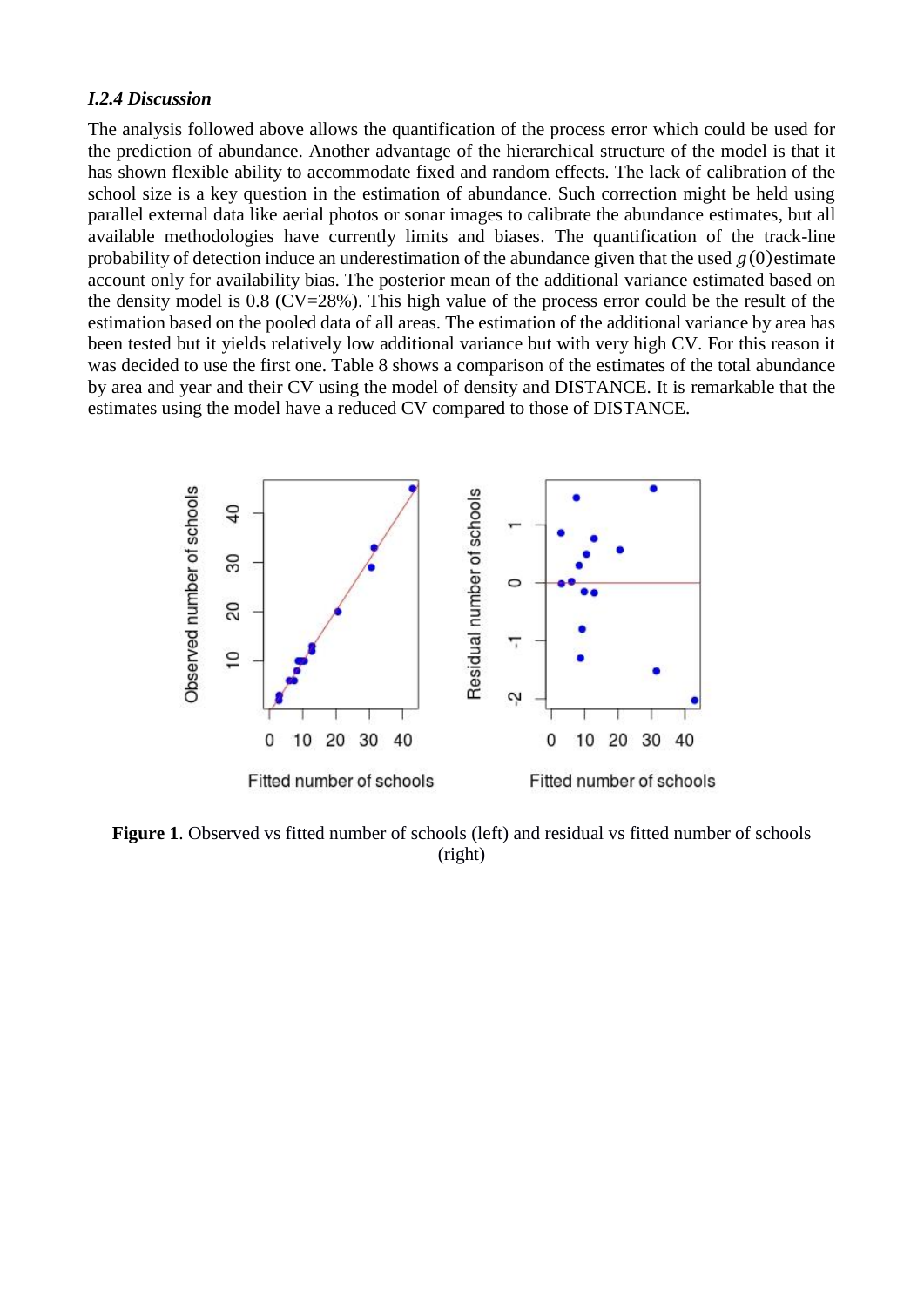#### *I.2.4 Discussion*

The analysis followed above allows the quantification of the process error which could be used for the prediction of abundance. Another advantage of the hierarchical structure of the model is that it has shown flexible ability to accommodate fixed and random effects. The lack of calibration of the school size is a key question in the estimation of abundance. Such correction might be held using parallel external data like aerial photos or sonar images to calibrate the abundance estimates, but all available methodologies have currently limits and biases. The quantification of the track-line probability of detection induce an underestimation of the abundance given that the used  $g(0)$  estimate account only for availability bias. The posterior mean of the additional variance estimated based on the density model is 0.8 (CV=28%). This high value of the process error could be the result of the estimation based on the pooled data of all areas. The estimation of the additional variance by area has been tested but it yields relatively low additional variance but with very high CV. For this reason it was decided to use the first one. Table 8 shows a comparison of the estimates of the total abundance by area and year and their CV using the model of density and DISTANCE. It is remarkable that the estimates using the model have a reduced CV compared to those of DISTANCE.



**Figure 1**. Observed vs fitted number of schools (left) and residual vs fitted number of schools (right)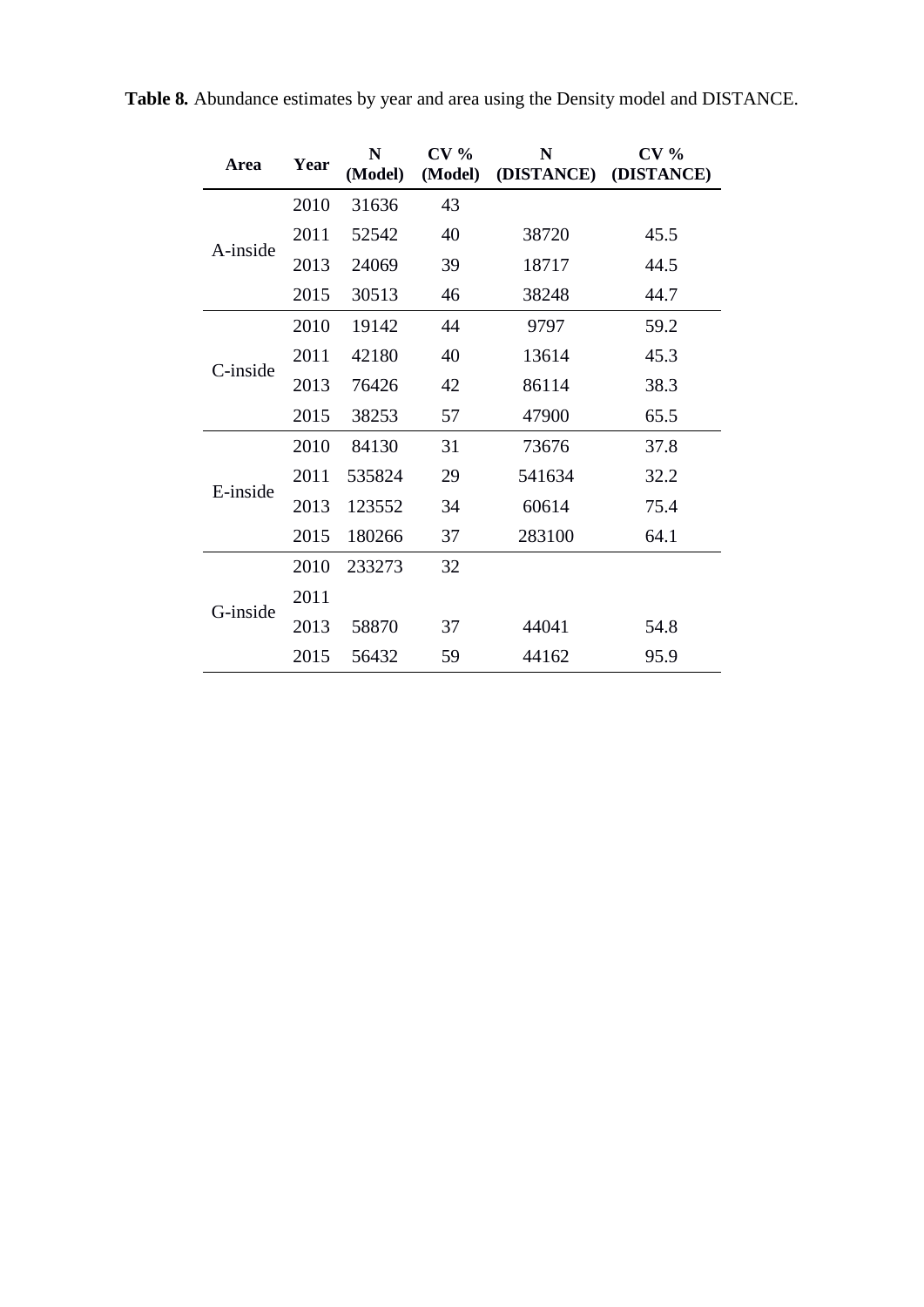| Table 8. Abundance estimates by year and area using the Density model and DISTANCE. |  |  |
|-------------------------------------------------------------------------------------|--|--|

| Area     | Year | N<br>(Model) | CV <sub>0</sub><br>(Model) | ${\bf N}$<br>(DISTANCE) | CV <sub>0</sub><br>(DISTANCE) |
|----------|------|--------------|----------------------------|-------------------------|-------------------------------|
|          | 2010 | 31636        | 43                         |                         |                               |
| A-inside | 2011 | 52542        | 40                         | 38720                   | 45.5                          |
|          | 2013 | 24069        | 39                         | 18717                   | 44.5                          |
|          | 2015 | 30513        | 46                         | 38248                   | 44.7                          |
| C-inside | 2010 | 19142        | 44                         | 9797                    | 59.2                          |
|          | 2011 | 42180        | 40                         | 13614                   | 45.3                          |
|          | 2013 | 76426        | 42                         | 86114                   | 38.3                          |
|          | 2015 | 38253        | 57                         | 47900                   | 65.5                          |
|          | 2010 | 84130        | 31                         | 73676                   | 37.8                          |
| E-inside | 2011 | 535824       | 29                         | 541634                  | 32.2                          |
|          | 2013 | 123552       | 34                         | 60614                   | 75.4                          |
|          | 2015 | 180266       | 37                         | 283100                  | 64.1                          |
|          | 2010 | 233273       | 32                         |                         |                               |
| G-inside | 2011 |              |                            |                         |                               |
|          | 2013 | 58870        | 37                         | 44041                   | 54.8                          |
|          | 2015 | 56432        | 59                         | 44162                   | 95.9                          |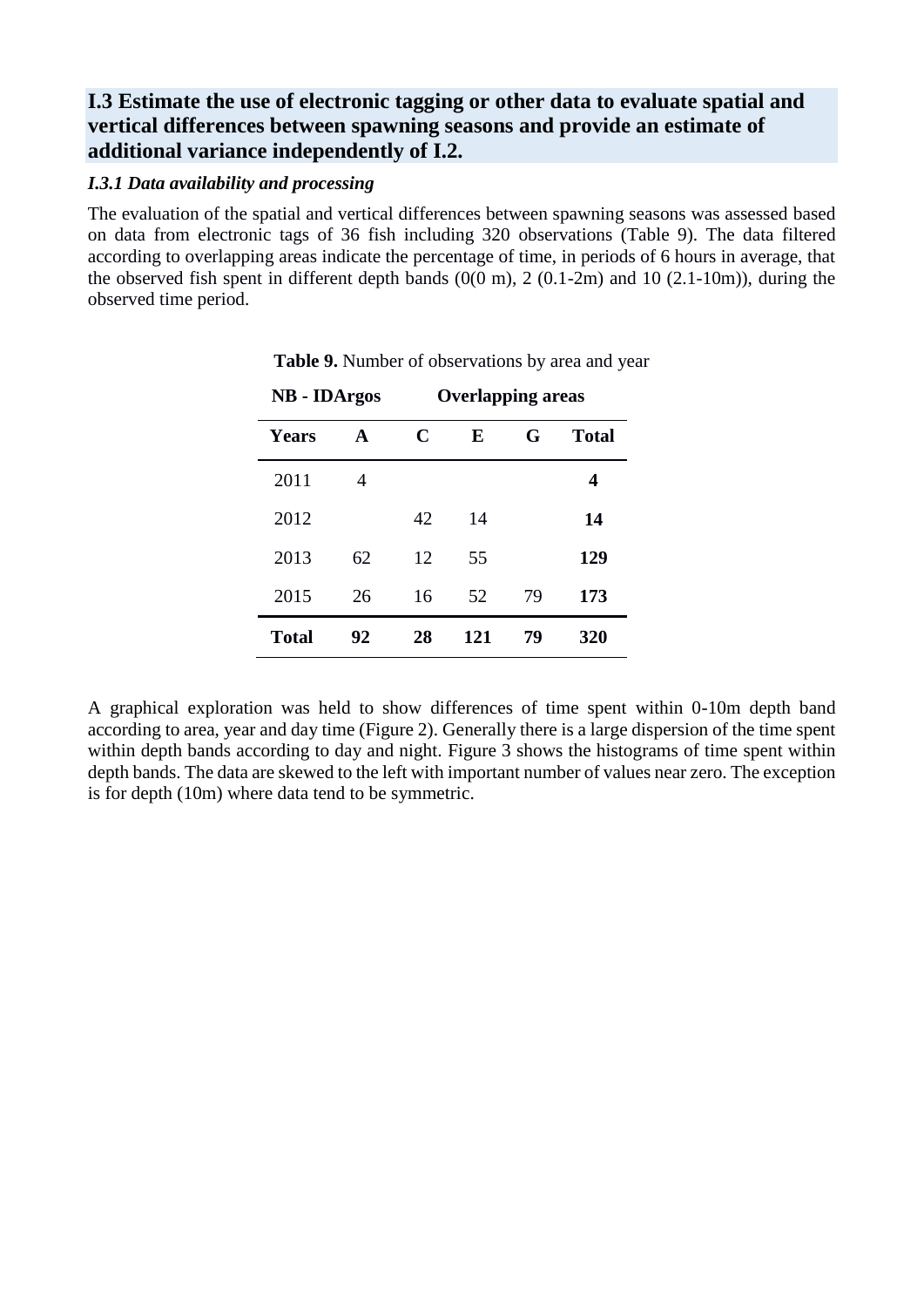# **I.3 Estimate the use of electronic tagging or other data to evaluate spatial and vertical differences between spawning seasons and provide an estimate of additional variance independently of I.2.**

### *I.3.1 Data availability and processing*

The evaluation of the spatial and vertical differences between spawning seasons was assessed based on data from electronic tags of 36 fish including 320 observations (Table 9). The data filtered according to overlapping areas indicate the percentage of time, in periods of 6 hours in average, that the observed fish spent in different depth bands  $(0(0 \text{ m}), 2 (0.1-2\text{m})$  and  $10 (2.1-10\text{m}))$ , during the observed time period.

| <b>NB</b> - <b>IDArgos</b> |              |    | <b>Overlapping areas</b> |    |              |
|----------------------------|--------------|----|--------------------------|----|--------------|
| <b>Years</b>               | $\mathbf{A}$ | C  | E                        | G  | <b>Total</b> |
| 2011                       | 4            |    |                          |    | 4            |
| 2012                       |              | 42 | 14                       |    | 14           |
| 2013                       | 62           | 12 | 55                       |    | 129          |
| 2015                       | 26           | 16 | 52                       | 79 | 173          |
| <b>Total</b>               | 92           | 28 | 121                      | 79 | 320          |

**Table 9.** Number of observations by area and year

A graphical exploration was held to show differences of time spent within 0-10m depth band according to area, year and day time (Figure 2). Generally there is a large dispersion of the time spent within depth bands according to day and night. Figure 3 shows the histograms of time spent within depth bands. The data are skewed to the left with important number of values near zero. The exception is for depth (10m) where data tend to be symmetric.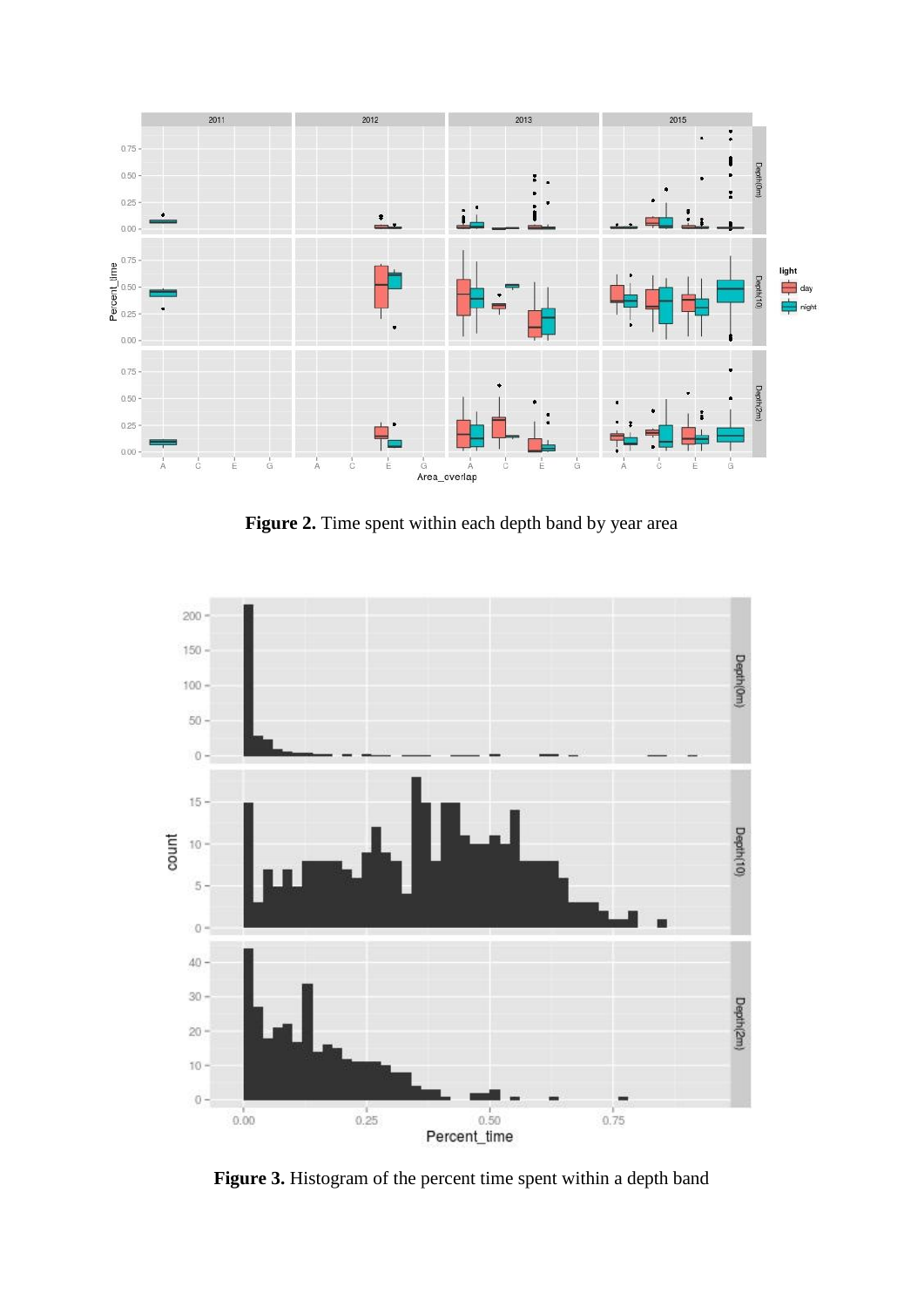

Figure 2. Time spent within each depth band by year area



**Figure 3.** Histogram of the percent time spent within a depth band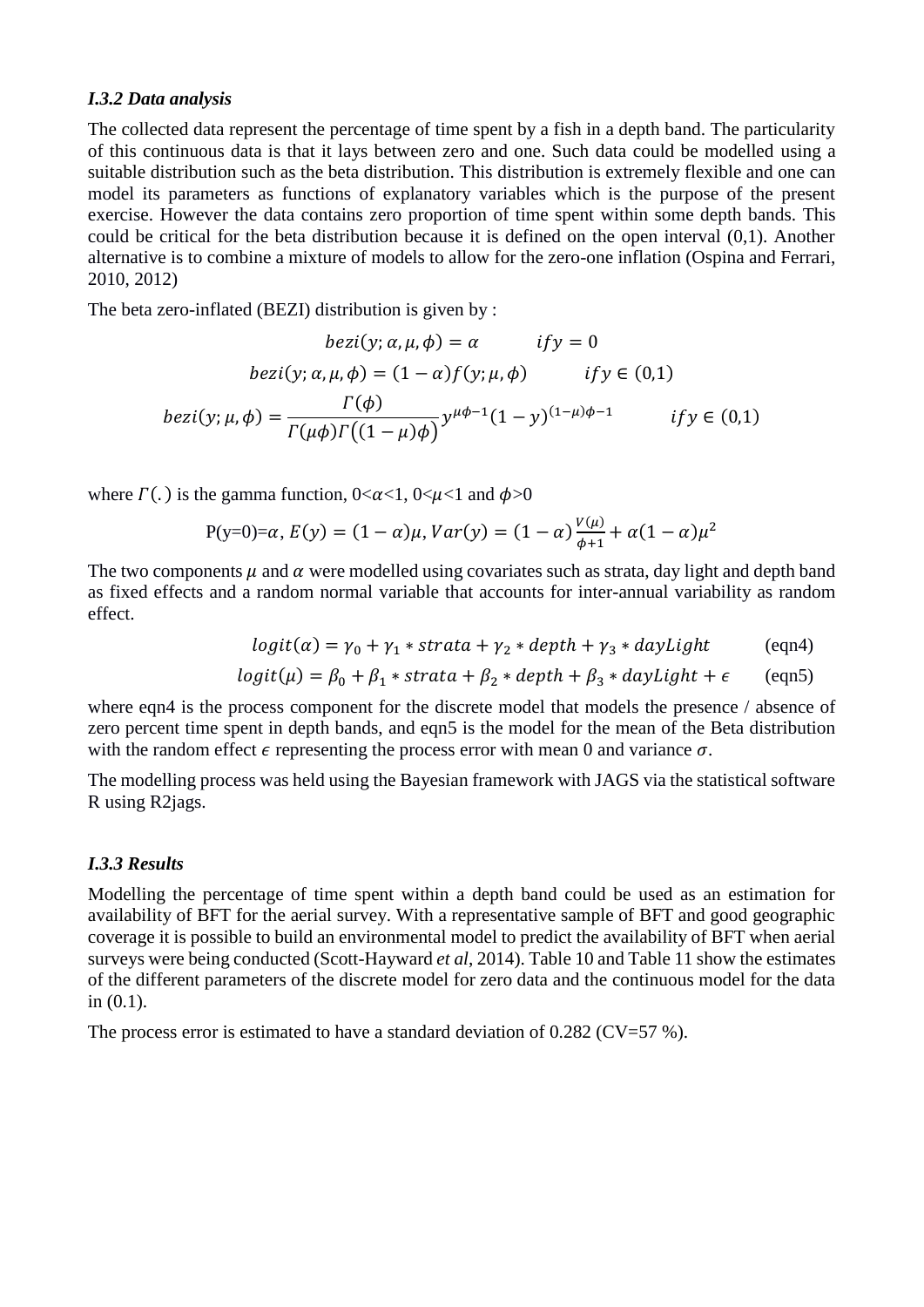#### *I.3.2 Data analysis*

The collected data represent the percentage of time spent by a fish in a depth band. The particularity of this continuous data is that it lays between zero and one. Such data could be modelled using a suitable distribution such as the beta distribution. This distribution is extremely flexible and one can model its parameters as functions of explanatory variables which is the purpose of the present exercise. However the data contains zero proportion of time spent within some depth bands. This could be critical for the beta distribution because it is defined on the open interval (0,1). Another alternative is to combine a mixture of models to allow for the zero-one inflation (Ospina and Ferrari, 2010, 2012)

The beta zero-inflated (BEZI) distribution is given by :

$$
bezi(y; \alpha, \mu, \phi) = \alpha \qquad if y = 0
$$

$$
bezi(y; \alpha, \mu, \phi) = (1 - \alpha)f(y; \mu, \phi) \qquad if y \in (0, 1)
$$

$$
bezi(y; \mu, \phi) = \frac{\Gamma(\phi)}{\Gamma(\mu\phi)\Gamma((1 - \mu)\phi)} y^{\mu\phi - 1}(1 - y)^{(1 - \mu)\phi - 1} \qquad if y \in (0, 1)
$$

where  $\Gamma(.)$  is the gamma function,  $0 < \alpha < 1$ ,  $0 < \mu < 1$  and  $\phi > 0$ 

$$
P(y=0)=\alpha, E(y)=(1-\alpha)\mu, Var(y)=(1-\alpha)\frac{V(\mu)}{\phi+1}+\alpha(1-\alpha)\mu^2
$$

The two components  $\mu$  and  $\alpha$  were modelled using covariates such as strata, day light and depth band as fixed effects and a random normal variable that accounts for inter-annual variability as random effect.

$$
logit(\alpha) = \gamma_0 + \gamma_1 * strata + \gamma_2 * depth + \gamma_3 * dayLight \qquad (eqn4)
$$

$$
logit(\mu) = \beta_0 + \beta_1 * strata + \beta_2 * depth + \beta_3 * dayLight + \epsilon
$$
 (eqn5)

where eqn4 is the process component for the discrete model that models the presence / absence of zero percent time spent in depth bands, and eqn5 is the model for the mean of the Beta distribution with the random effect  $\epsilon$  representing the process error with mean 0 and variance  $\sigma$ .

The modelling process was held using the Bayesian framework with JAGS via the statistical software R using R2jags.

#### *I.3.3 Results*

Modelling the percentage of time spent within a depth band could be used as an estimation for availability of BFT for the aerial survey. With a representative sample of BFT and good geographic coverage it is possible to build an environmental model to predict the availability of BFT when aerial surveys were being conducted (Scott-Hayward *et al*, 2014). Table 10 and Table 11 show the estimates of the different parameters of the discrete model for zero data and the continuous model for the data in (0.1).

The process error is estimated to have a standard deviation of  $0.282$  (CV=57 %).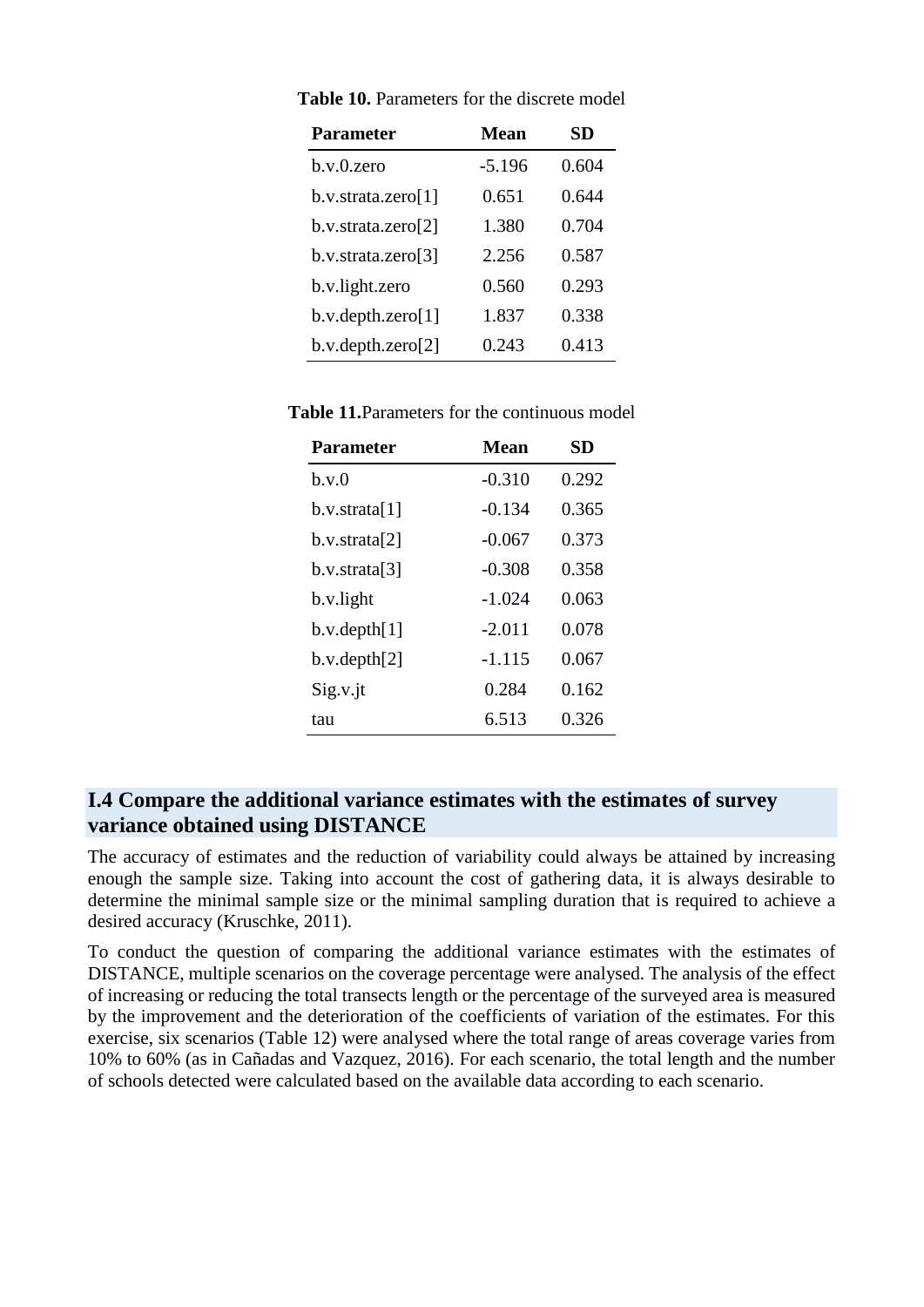| <b>Parameter</b>   | Mean     | SD    |
|--------------------|----------|-------|
| h v 0 zero         | $-5.196$ | 0.604 |
| b.v.strata.zero[1] | 0.651    | 0.644 |
| b.v.strata.zero[2] | 1.380    | 0.704 |
| b.v.strata.zero[3] | 2.256    | 0.587 |
| b.v.light.zero     | 0.560    | 0.293 |
| b.v.depth. zero[1] | 1.837    | 0.338 |
| b.v.depth. zero[2] | 0.243    | 0.413 |

**Table 10.** Parameters for the discrete model

**Table 11.**Parameters for the continuous model

| <b>Parameter</b>    | Mean     | SD    |
|---------------------|----------|-------|
| h.v.0               | $-0.310$ | 0.292 |
| $b.v.$ strata[1]    | $-0.134$ | 0.365 |
| $b.v.$ strata $[2]$ | $-0.067$ | 0.373 |
| b.v.strata[3]       | $-0.308$ | 0.358 |
| b.v.light           | $-1.024$ | 0.063 |
| b.v. depth[1]       | $-2.011$ | 0.078 |
| b.v. depth[2]       | $-1.115$ | 0.067 |
| Sig.v.jt            | 0.284    | 0.162 |
| tau                 | 6.513    | 0.326 |

# **I.4 Compare the additional variance estimates with the estimates of survey variance obtained using DISTANCE**

The accuracy of estimates and the reduction of variability could always be attained by increasing enough the sample size. Taking into account the cost of gathering data, it is always desirable to determine the minimal sample size or the minimal sampling duration that is required to achieve a desired accuracy (Kruschke, 2011).

To conduct the question of comparing the additional variance estimates with the estimates of DISTANCE, multiple scenarios on the coverage percentage were analysed. The analysis of the effect of increasing or reducing the total transects length or the percentage of the surveyed area is measured by the improvement and the deterioration of the coefficients of variation of the estimates. For this exercise, six scenarios (Table 12) were analysed where the total range of areas coverage varies from 10% to 60% (as in Cañadas and Vazquez, 2016). For each scenario, the total length and the number of schools detected were calculated based on the available data according to each scenario.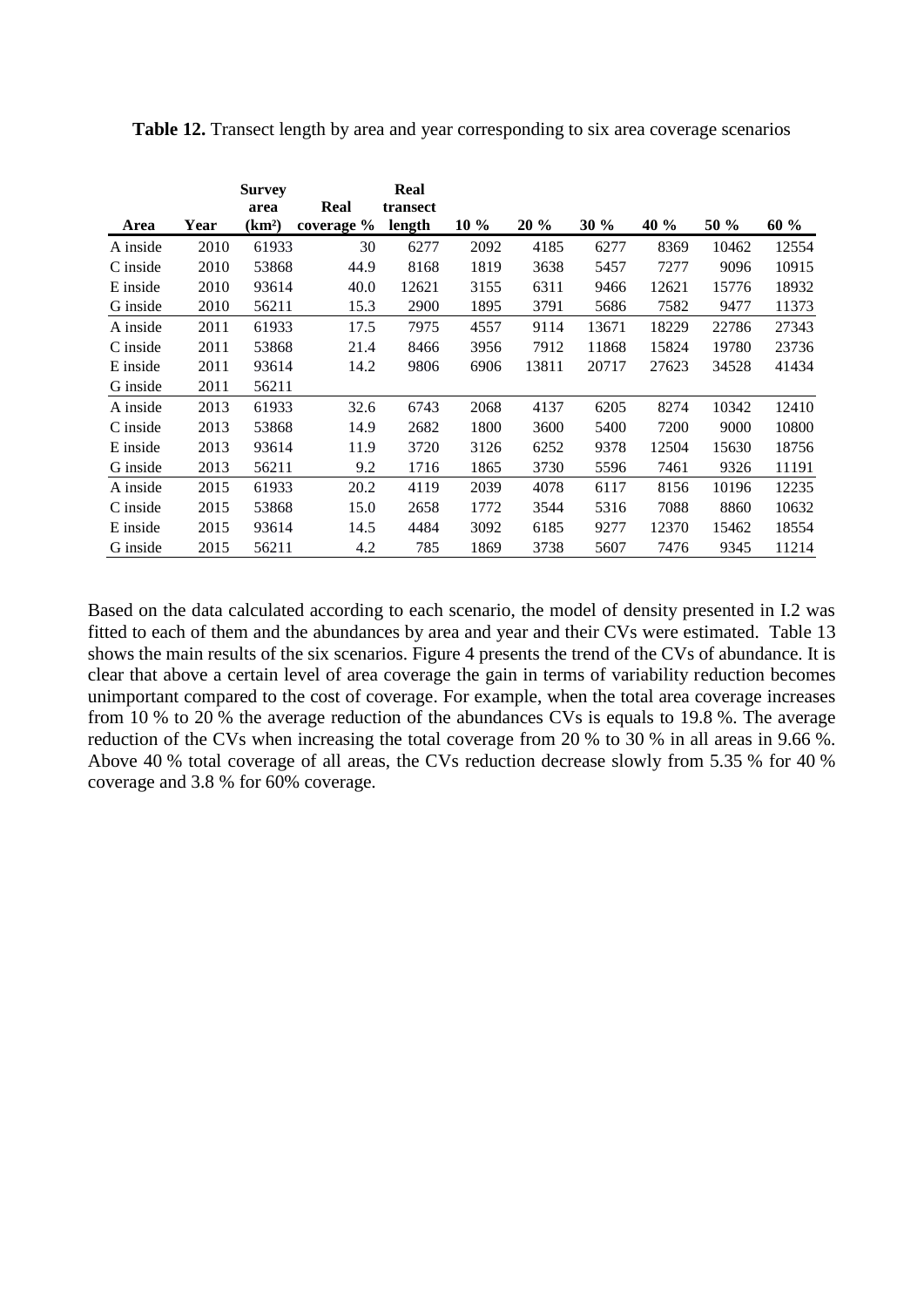|          | <b>Survey</b> |                    |            | Real     |        |        |        |       |       |       |
|----------|---------------|--------------------|------------|----------|--------|--------|--------|-------|-------|-------|
|          |               | area               | Real       | transect |        |        |        |       |       |       |
| Area     | Year          | (km <sup>2</sup> ) | coverage % | length   | $10\%$ | $20\%$ | $30\%$ | 40 %  | 50 %  | 60 %  |
| A inside | 2010          | 61933              | 30         | 6277     | 2092   | 4185   | 6277   | 8369  | 10462 | 12554 |
| C inside | 2010          | 53868              | 44.9       | 8168     | 1819   | 3638   | 5457   | 7277  | 9096  | 10915 |
| E inside | 2010          | 93614              | 40.0       | 12621    | 3155   | 6311   | 9466   | 12621 | 15776 | 18932 |
| G inside | 2010          | 56211              | 15.3       | 2900     | 1895   | 3791   | 5686   | 7582  | 9477  | 11373 |
| A inside | 2011          | 61933              | 17.5       | 7975     | 4557   | 9114   | 13671  | 18229 | 22786 | 27343 |
| C inside | 2011          | 53868              | 21.4       | 8466     | 3956   | 7912   | 11868  | 15824 | 19780 | 23736 |
| E inside | 2011          | 93614              | 14.2       | 9806     | 6906   | 13811  | 20717  | 27623 | 34528 | 41434 |
| G inside | 2011          | 56211              |            |          |        |        |        |       |       |       |
| A inside | 2013          | 61933              | 32.6       | 6743     | 2068   | 4137   | 6205   | 8274  | 10342 | 12410 |
| C inside | 2013          | 53868              | 14.9       | 2682     | 1800   | 3600   | 5400   | 7200  | 9000  | 10800 |
| E inside | 2013          | 93614              | 11.9       | 3720     | 3126   | 6252   | 9378   | 12504 | 15630 | 18756 |
| G inside | 2013          | 56211              | 9.2        | 1716     | 1865   | 3730   | 5596   | 7461  | 9326  | 11191 |
| A inside | 2015          | 61933              | 20.2       | 4119     | 2039   | 4078   | 6117   | 8156  | 10196 | 12235 |
| C inside | 2015          | 53868              | 15.0       | 2658     | 1772   | 3544   | 5316   | 7088  | 8860  | 10632 |
| E inside | 2015          | 93614              | 14.5       | 4484     | 3092   | 6185   | 9277   | 12370 | 15462 | 18554 |
| G inside | 2015          | 56211              | 4.2        | 785      | 1869   | 3738   | 5607   | 7476  | 9345  | 11214 |

**Table 12.** Transect length by area and year corresponding to six area coverage scenarios

Based on the data calculated according to each scenario, the model of density presented in I.2 was fitted to each of them and the abundances by area and year and their CVs were estimated. Table 13 shows the main results of the six scenarios. Figure 4 presents the trend of the CVs of abundance. It is clear that above a certain level of area coverage the gain in terms of variability reduction becomes unimportant compared to the cost of coverage. For example, when the total area coverage increases from 10 % to 20 % the average reduction of the abundances CVs is equals to 19.8 %. The average reduction of the CVs when increasing the total coverage from 20 % to 30 % in all areas in 9.66 %. Above 40 % total coverage of all areas, the CVs reduction decrease slowly from 5.35 % for 40 % coverage and 3.8 % for 60% coverage.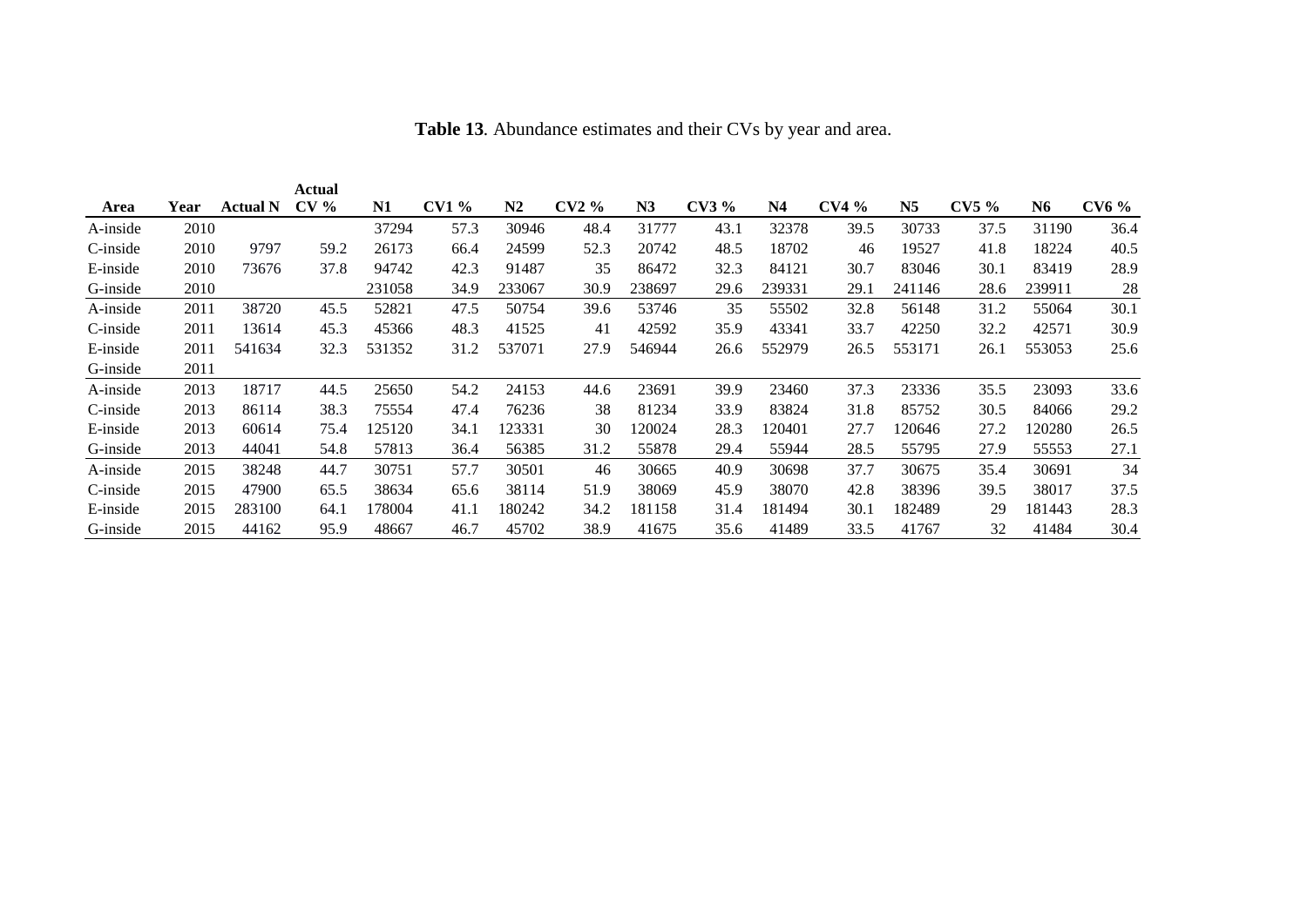|          |      |                 | Actual |        |         |        |         |                |         |                |         |                |       |        |              |
|----------|------|-----------------|--------|--------|---------|--------|---------|----------------|---------|----------------|---------|----------------|-------|--------|--------------|
| Area     | Year | <b>Actual N</b> | $CV\%$ | N1     | $CV1\%$ | N2     | $CV2\%$ | N <sub>3</sub> | $CV3\%$ | N <sub>4</sub> | $CV4\%$ | N <sub>5</sub> | CV5 % | N6     | <b>CV6 %</b> |
| A-inside | 2010 |                 |        | 37294  | 57.3    | 30946  | 48.4    | 31777          | 43.1    | 32378          | 39.5    | 30733          | 37.5  | 31190  | 36.4         |
| C-inside | 2010 | 9797            | 59.2   | 26173  | 66.4    | 24599  | 52.3    | 20742          | 48.5    | 18702          | 46      | 19527          | 41.8  | 18224  | 40.5         |
| E-inside | 2010 | 73676           | 37.8   | 94742  | 42.3    | 91487  | 35      | 86472          | 32.3    | 84121          | 30.7    | 83046          | 30.1  | 83419  | 28.9         |
| G-inside | 2010 |                 |        | 231058 | 34.9    | 233067 | 30.9    | 238697         | 29.6    | 239331         | 29.1    | 241146         | 28.6  | 239911 | 28           |
| A-inside | 2011 | 38720           | 45.5   | 52821  | 47.5    | 50754  | 39.6    | 53746          | 35      | 55502          | 32.8    | 56148          | 31.2  | 55064  | 30.1         |
| C-inside | 2011 | 13614           | 45.3   | 45366  | 48.3    | 41525  | 41      | 42592          | 35.9    | 43341          | 33.7    | 42250          | 32.2  | 42571  | 30.9         |
| E-inside | 2011 | 541634          | 32.3   | 531352 | 31.2    | 537071 | 27.9    | 546944         | 26.6    | 552979         | 26.5    | 553171         | 26.1  | 553053 | 25.6         |
| G-inside | 2011 |                 |        |        |         |        |         |                |         |                |         |                |       |        |              |
| A-inside | 2013 | 18717           | 44.5   | 25650  | 54.2    | 24153  | 44.6    | 23691          | 39.9    | 23460          | 37.3    | 23336          | 35.5  | 23093  | 33.6         |
| C-inside | 2013 | 86114           | 38.3   | 75554  | 47.4    | 76236  | 38      | 81234          | 33.9    | 83824          | 31.8    | 85752          | 30.5  | 84066  | 29.2         |
| E-inside | 2013 | 60614           | 75.4   | 125120 | 34.1    | 123331 | 30      | 120024         | 28.3    | 120401         | 27.7    | 120646         | 27.2  | 120280 | 26.5         |
| G-inside | 2013 | 44041           | 54.8   | 57813  | 36.4    | 56385  | 31.2    | 55878          | 29.4    | 55944          | 28.5    | 55795          | 27.9  | 55553  | 27.1         |
| A-inside | 2015 | 38248           | 44.7   | 30751  | 57.7    | 30501  | 46      | 30665          | 40.9    | 30698          | 37.7    | 30675          | 35.4  | 30691  | 34           |
| C-inside | 2015 | 47900           | 65.5   | 38634  | 65.6    | 38114  | 51.9    | 38069          | 45.9    | 38070          | 42.8    | 38396          | 39.5  | 38017  | 37.5         |
| E-inside | 2015 | 283100          | 64.1   | 78004  | 41.1    | 180242 | 34.2    | 181158         | 31.4    | 181494         | 30.1    | 182489         | 29    | 181443 | 28.3         |
| G-inside | 2015 | 44162           | 95.9   | 48667  | 46.7    | 45702  | 38.9    | 41675          | 35.6    | 41489          | 33.5    | 41767          | 32    | 41484  | 30.4         |

**Table 13***.* Abundance estimates and their CVs by year and area.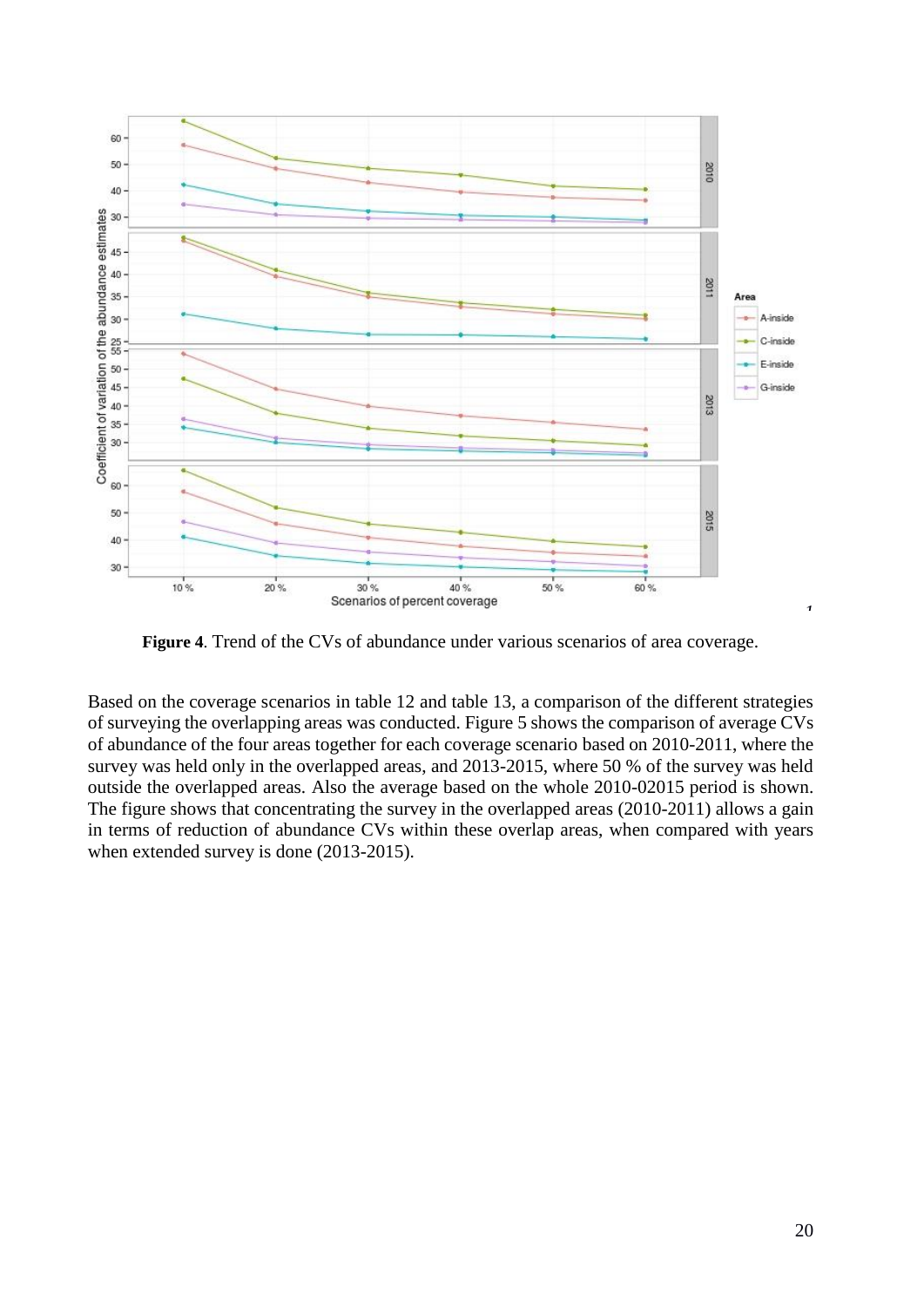

**Figure 4**. Trend of the CVs of abundance under various scenarios of area coverage.

Based on the coverage scenarios in table 12 and table 13, a comparison of the different strategies of surveying the overlapping areas was conducted. Figure 5 shows the comparison of average CVs of abundance of the four areas together for each coverage scenario based on 2010-2011, where the survey was held only in the overlapped areas, and 2013-2015, where 50 % of the survey was held outside the overlapped areas. Also the average based on the whole 2010-02015 period is shown. The figure shows that concentrating the survey in the overlapped areas (2010-2011) allows a gain in terms of reduction of abundance CVs within these overlap areas, when compared with years when extended survey is done (2013-2015).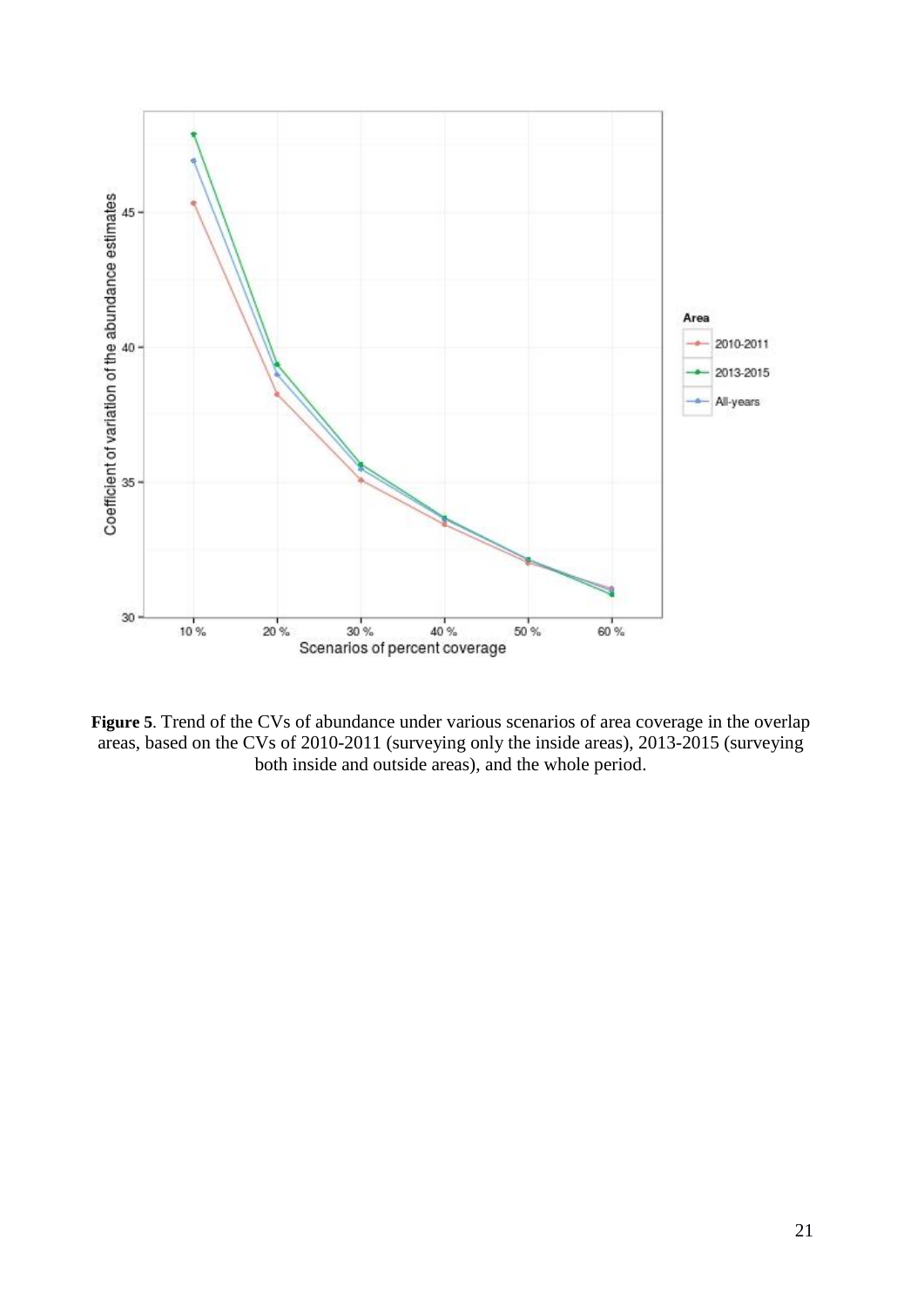

**Figure 5**. Trend of the CVs of abundance under various scenarios of area coverage in the overlap areas, based on the CVs of 2010-2011 (surveying only the inside areas), 2013-2015 (surveying both inside and outside areas), and the whole period.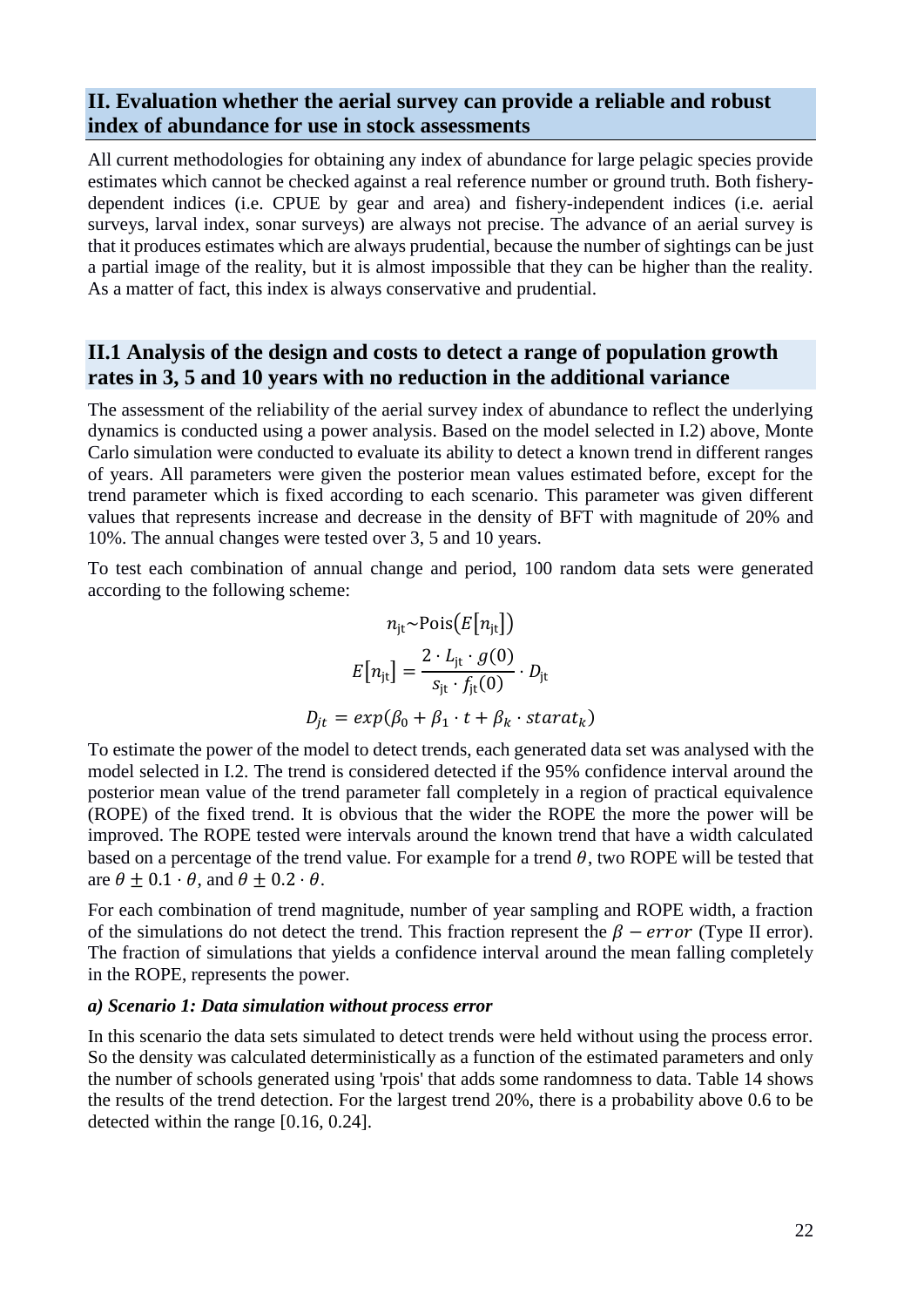## **II. Evaluation whether the aerial survey can provide a reliable and robust index of abundance for use in stock assessments**

All current methodologies for obtaining any index of abundance for large pelagic species provide estimates which cannot be checked against a real reference number or ground truth. Both fisherydependent indices (i.e. CPUE by gear and area) and fishery-independent indices (i.e. aerial surveys, larval index, sonar surveys) are always not precise. The advance of an aerial survey is that it produces estimates which are always prudential, because the number of sightings can be just a partial image of the reality, but it is almost impossible that they can be higher than the reality. As a matter of fact, this index is always conservative and prudential.

# **II.1 Analysis of the design and costs to detect a range of population growth rates in 3, 5 and 10 years with no reduction in the additional variance**

The assessment of the reliability of the aerial survey index of abundance to reflect the underlying dynamics is conducted using a power analysis. Based on the model selected in I.2) above, Monte Carlo simulation were conducted to evaluate its ability to detect a known trend in different ranges of years. All parameters were given the posterior mean values estimated before, except for the trend parameter which is fixed according to each scenario. This parameter was given different values that represents increase and decrease in the density of BFT with magnitude of 20% and 10%. The annual changes were tested over 3, 5 and 10 years.

To test each combination of annual change and period, 100 random data sets were generated according to the following scheme:

$$
n_{jt} \sim \text{Pois}(E[n_{jt}])
$$

$$
E[n_{jt}] = \frac{2 \cdot L_{jt} \cdot g(0)}{s_{jt} \cdot f_{jt}(0)} \cdot D_{jt}
$$

$$
D_{jt} = exp(\beta_0 + \beta_1 \cdot t + \beta_k \cdot start_k)
$$

To estimate the power of the model to detect trends, each generated data set was analysed with the model selected in I.2. The trend is considered detected if the 95% confidence interval around the posterior mean value of the trend parameter fall completely in a region of practical equivalence (ROPE) of the fixed trend. It is obvious that the wider the ROPE the more the power will be improved. The ROPE tested were intervals around the known trend that have a width calculated based on a percentage of the trend value. For example for a trend  $\theta$ , two ROPE will be tested that are  $\theta$  + 0.1  $\cdot$   $\theta$ , and  $\theta$  + 0.2  $\cdot$   $\theta$ .

For each combination of trend magnitude, number of year sampling and ROPE width, a fraction of the simulations do not detect the trend. This fraction represent the  $\beta - error$  (Type II error). The fraction of simulations that yields a confidence interval around the mean falling completely in the ROPE, represents the power.

#### *a) Scenario 1: Data simulation without process error*

In this scenario the data sets simulated to detect trends were held without using the process error. So the density was calculated deterministically as a function of the estimated parameters and only the number of schools generated using 'rpois' that adds some randomness to data. Table 14 shows the results of the trend detection. For the largest trend 20%, there is a probability above 0.6 to be detected within the range [0.16, 0.24].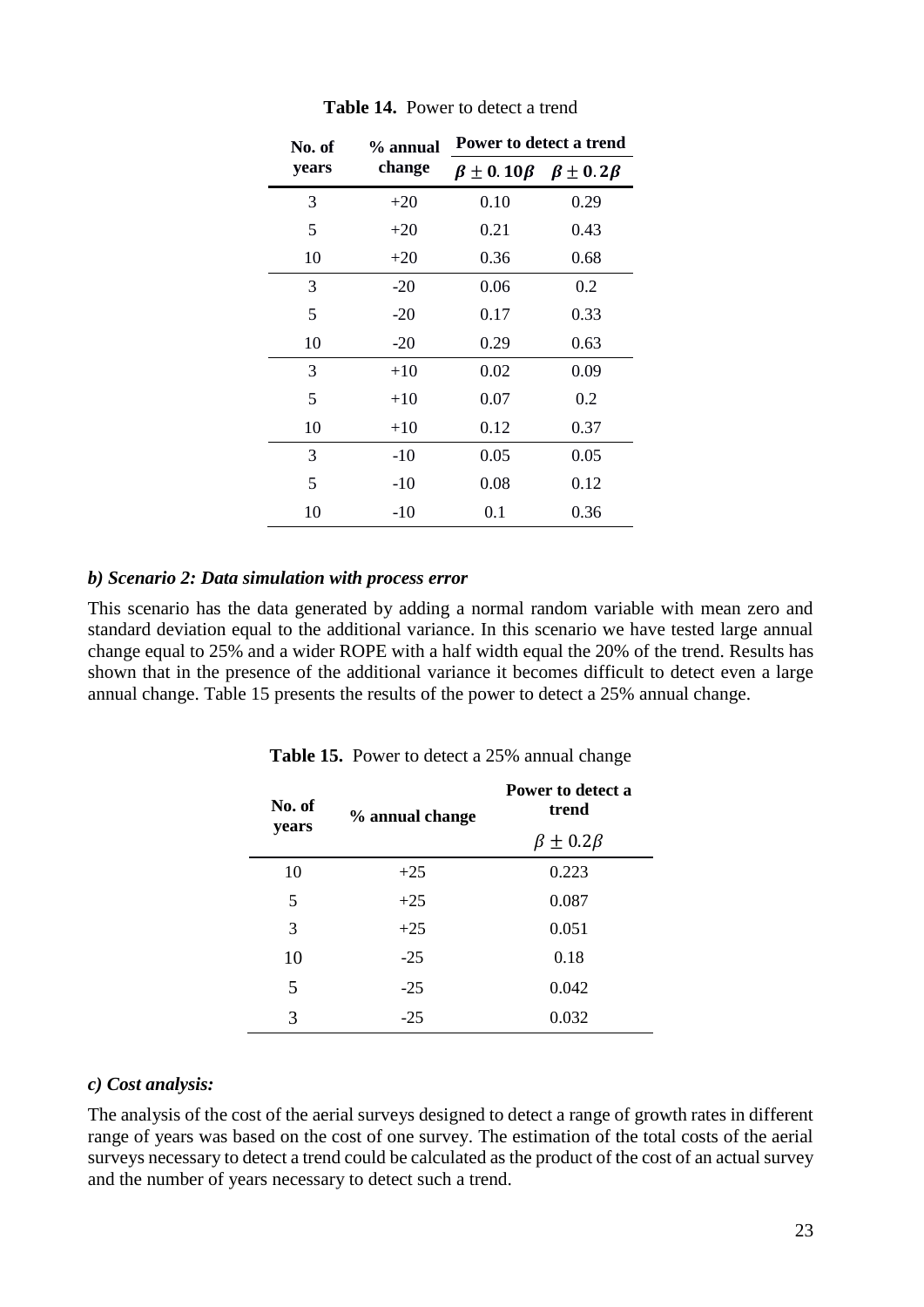| No. of | % annual | Power to detect a trend                    |      |  |  |  |  |
|--------|----------|--------------------------------------------|------|--|--|--|--|
| years  | change   | $\beta \pm 0.10\beta$ $\beta \pm 0.2\beta$ |      |  |  |  |  |
| 3      | $+20$    | 0.10                                       | 0.29 |  |  |  |  |
| 5      | $+20$    | 0.21                                       | 0.43 |  |  |  |  |
| 10     | $+20$    | 0.36                                       | 0.68 |  |  |  |  |
| 3      | $-20$    | 0.06                                       | 0.2  |  |  |  |  |
| 5      | $-20$    | 0.17                                       | 0.33 |  |  |  |  |
| 10     | $-20$    | 0.29                                       | 0.63 |  |  |  |  |
| 3      | $+10$    | 0.02                                       | 0.09 |  |  |  |  |
| 5      | $+10$    | 0.07                                       | 0.2  |  |  |  |  |
| 10     | $+10$    | 0.12                                       | 0.37 |  |  |  |  |
| 3      | $-10$    | 0.05                                       | 0.05 |  |  |  |  |
| 5      | $-10$    | 0.08                                       | 0.12 |  |  |  |  |
| 10     | $-10$    | 0.1                                        | 0.36 |  |  |  |  |

**Table 14.** Power to detect a trend

#### *b) Scenario 2: Data simulation with process error*

This scenario has the data generated by adding a normal random variable with mean zero and standard deviation equal to the additional variance. In this scenario we have tested large annual change equal to 25% and a wider ROPE with a half width equal the 20% of the trend. Results has shown that in the presence of the additional variance it becomes difficult to detect even a large annual change. Table 15 presents the results of the power to detect a 25% annual change.

| No. of | % annual change | <b>Power to detect a</b><br>trend |  |  |  |  |
|--------|-----------------|-----------------------------------|--|--|--|--|
| years  |                 | $\beta \pm 0.2\beta$              |  |  |  |  |
| 10     | $+25$           | 0.223                             |  |  |  |  |
| 5      | $+25$           | 0.087                             |  |  |  |  |
| 3      | $+25$           | 0.051                             |  |  |  |  |
| 10     | $-25$           | 0.18                              |  |  |  |  |
| 5      | $-25$           | 0.042                             |  |  |  |  |
| 3      | $-25$           | 0.032                             |  |  |  |  |

**Table 15.** Power to detect a 25% annual change

#### *c) Cost analysis:*

The analysis of the cost of the aerial surveys designed to detect a range of growth rates in different range of years was based on the cost of one survey. The estimation of the total costs of the aerial surveys necessary to detect a trend could be calculated as the product of the cost of an actual survey and the number of years necessary to detect such a trend.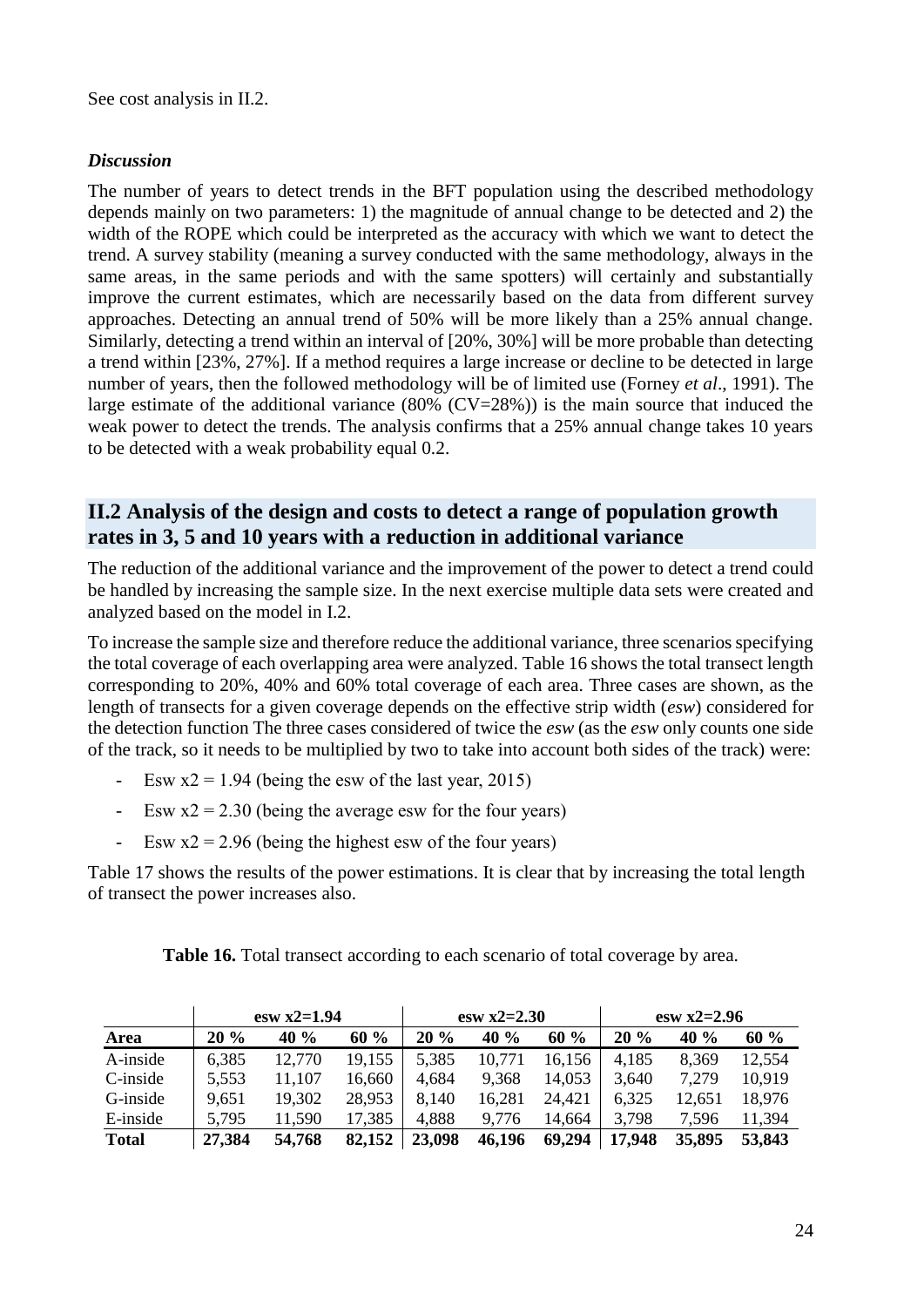## *Discussion*

The number of years to detect trends in the BFT population using the described methodology depends mainly on two parameters: 1) the magnitude of annual change to be detected and 2) the width of the ROPE which could be interpreted as the accuracy with which we want to detect the trend. A survey stability (meaning a survey conducted with the same methodology, always in the same areas, in the same periods and with the same spotters) will certainly and substantially improve the current estimates, which are necessarily based on the data from different survey approaches. Detecting an annual trend of 50% will be more likely than a 25% annual change. Similarly, detecting a trend within an interval of [20%, 30%] will be more probable than detecting a trend within [23%, 27%]. If a method requires a large increase or decline to be detected in large number of years, then the followed methodology will be of limited use (Forney *et al*., 1991). The large estimate of the additional variance  $(80\%$   $(CV=28\%)$  is the main source that induced the weak power to detect the trends. The analysis confirms that a 25% annual change takes 10 years to be detected with a weak probability equal 0.2.

# **II.2 Analysis of the design and costs to detect a range of population growth rates in 3, 5 and 10 years with a reduction in additional variance**

The reduction of the additional variance and the improvement of the power to detect a trend could be handled by increasing the sample size. In the next exercise multiple data sets were created and analyzed based on the model in I.2.

To increase the sample size and therefore reduce the additional variance, three scenarios specifying the total coverage of each overlapping area were analyzed. Table 16 shows the total transect length corresponding to 20%, 40% and 60% total coverage of each area. Three cases are shown, as the length of transects for a given coverage depends on the effective strip width (*esw*) considered for the detection function The three cases considered of twice the *esw* (as the *esw* only counts one side of the track, so it needs to be multiplied by two to take into account both sides of the track) were:

- Esw  $x^2 = 1.94$  (being the esw of the last year, 2015)
- Esw  $x^2 = 2.30$  (being the average esw for the four years)
- Esw  $x^2 = 2.96$  (being the highest esw of the four years)

Table 17 shows the results of the power estimations. It is clear that by increasing the total length of transect the power increases also.

**Table 16.** Total transect according to each scenario of total coverage by area.

|              |        | $esw x2=1.94$ |        |        | $esw x2=2.30$ |        |        | $esw x2=2.96$ |        |  |
|--------------|--------|---------------|--------|--------|---------------|--------|--------|---------------|--------|--|
| Area         | $20\%$ | 40 $\%$       | $60\%$ | $20\%$ | 40 $\%$       | $60\%$ | $20\%$ | 40 $\%$       | $60\%$ |  |
| A-inside     | 6,385  | 12,770        | 19,155 | 5,385  | 10,771        | 16,156 | 4,185  | 8,369         | 12,554 |  |
| C-inside     | 5,553  | 11,107        | 16,660 | 4,684  | 9,368         | 14,053 | 3,640  | 7,279         | 10,919 |  |
| G-inside     | 9.651  | 19,302        | 28,953 | 8,140  | 16,281        | 24,421 | 6,325  | 12.651        | 18.976 |  |
| E-inside     | 5,795  | 11,590        | 17,385 | 4,888  | 9,776         | 14.664 | 3,798  | 7.596         | 11,394 |  |
| <b>Total</b> | 27,384 | 54,768        | 82,152 | 23,098 | 46,196        | 69,294 | 17,948 | 35,895        | 53,843 |  |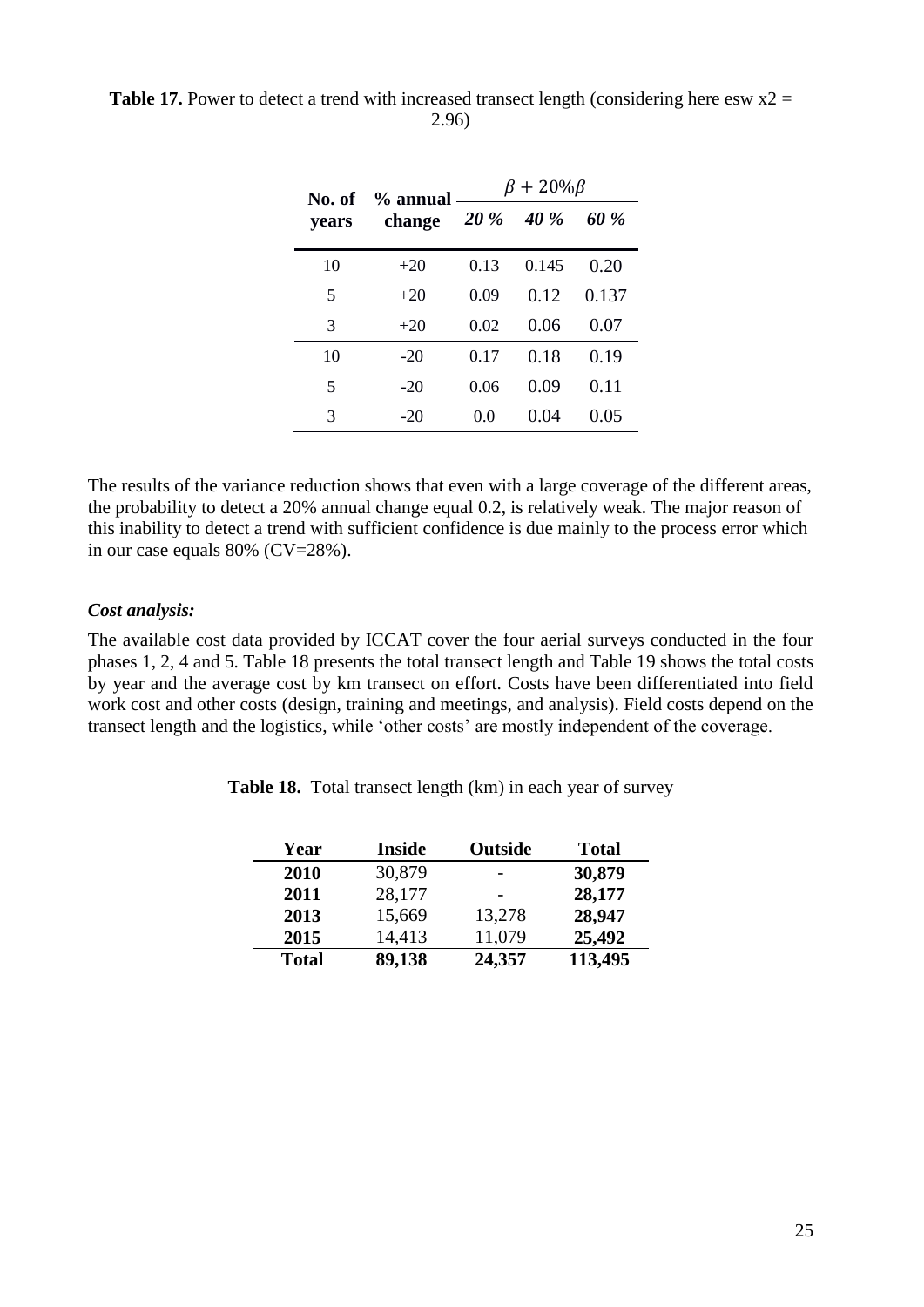**Table 17.** Power to detect a trend with increased transect length (considering here esw  $x^2 =$ 2.96)

| No. of | % annual | $\beta + 20\% \beta$ |             |       |  |  |  |  |
|--------|----------|----------------------|-------------|-------|--|--|--|--|
| years  | change   | <b>20 %</b>          | <b>40 %</b> | 60 %  |  |  |  |  |
| 10     | $+20$    | 0.13                 | 0.145       | 0.20  |  |  |  |  |
| 5      | $+20$    | 0.09                 | 0.12        | 0.137 |  |  |  |  |
| 3      | $+20$    | 0.02                 | 0.06        | 0.07  |  |  |  |  |
| 10     | $-20$    | 0.17                 | 0.18        | 0.19  |  |  |  |  |
| 5      | $-20$    | 0.06                 | 0.09        | 0.11  |  |  |  |  |
| 3      | $-20$    | 0.0                  | 0.04        | 0.05  |  |  |  |  |

The results of the variance reduction shows that even with a large coverage of the different areas, the probability to detect a 20% annual change equal 0.2, is relatively weak. The major reason of this inability to detect a trend with sufficient confidence is due mainly to the process error which in our case equals 80% (CV=28%).

### *Cost analysis:*

The available cost data provided by ICCAT cover the four aerial surveys conducted in the four phases 1, 2, 4 and 5. Table 18 presents the total transect length and Table 19 shows the total costs by year and the average cost by km transect on effort. Costs have been differentiated into field work cost and other costs (design, training and meetings, and analysis). Field costs depend on the transect length and the logistics, while 'other costs' are mostly independent of the coverage.

| Year         | <b>Inside</b> | <b>Outside</b> | <b>Total</b> |
|--------------|---------------|----------------|--------------|
| 2010         | 30,879        |                | 30,879       |
| 2011         | 28,177        |                | 28,177       |
| 2013         | 15,669        | 13,278         | 28,947       |
| 2015         | 14,413        | 11,079         | 25,492       |
| <b>Total</b> | 89,138        | 24,357         | 113,495      |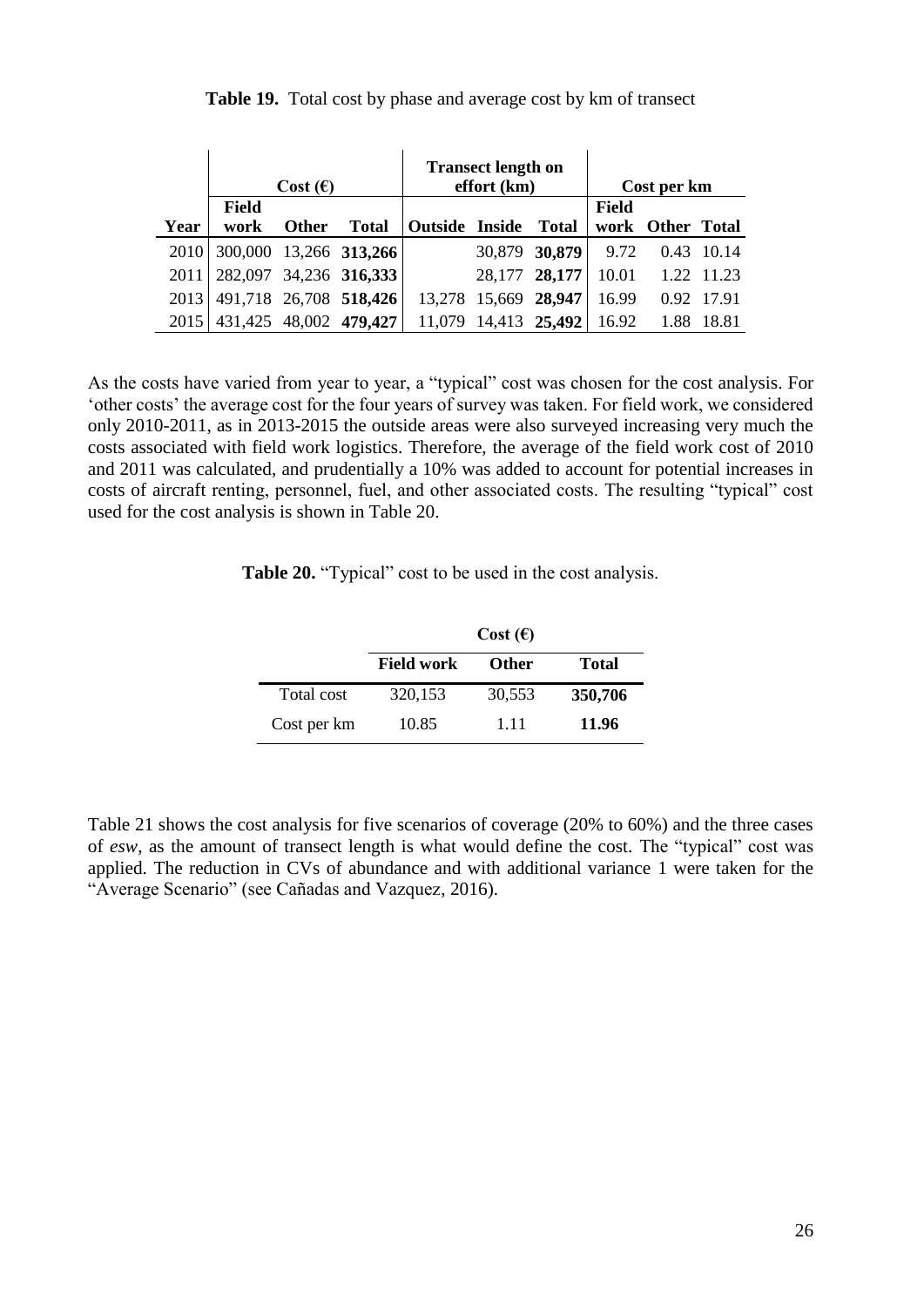|      | Cost $(\epsilon)$      |       |                        |                       | <b>Transect length on</b><br>effort (km) |               | Cost per km  |                  |            |
|------|------------------------|-------|------------------------|-----------------------|------------------------------------------|---------------|--------------|------------------|------------|
|      | <b>Field</b>           |       |                        |                       |                                          |               | <b>Field</b> |                  |            |
| Year | work                   | Other | <b>Total</b>           | <b>Outside Inside</b> |                                          | <b>Total</b>  |              | work Other Total |            |
| 2010 |                        |       | 300,000 13,266 313,266 |                       | 30,879                                   | 30,879        | 9.72         |                  | 0.43 10.14 |
| 2011 |                        |       | 282,097 34,236 316,333 |                       | 28,177                                   | 28,177        | 10.01        |                  | 1.22 11.23 |
| 2013 |                        |       | 491,718 26,708 518,426 | 13,278                | 15,669 28,947                            |               | 16.99        |                  | 0.92 17.91 |
| 2015 | 431,425 48,002 479,427 |       |                        | 11.079                |                                          | 14,413 25,492 | 16.92        | 1.88             | 18.81      |

**Table 19.** Total cost by phase and average cost by km of transect

As the costs have varied from year to year, a "typical" cost was chosen for the cost analysis. For 'other costs' the average cost for the four years of survey was taken. For field work, we considered only 2010-2011, as in 2013-2015 the outside areas were also surveyed increasing very much the costs associated with field work logistics. Therefore, the average of the field work cost of 2010 and 2011 was calculated, and prudentially a 10% was added to account for potential increases in costs of aircraft renting, personnel, fuel, and other associated costs. The resulting "typical" cost used for the cost analysis is shown in Table 20.

**Table 20.** "Typical" cost to be used in the cost analysis.

|             | Cost (E)          |              |              |  |  |  |  |  |  |
|-------------|-------------------|--------------|--------------|--|--|--|--|--|--|
|             | <b>Field work</b> | <b>Other</b> | <b>Total</b> |  |  |  |  |  |  |
| Total cost  | 320,153           | 30,553       | 350,706      |  |  |  |  |  |  |
| Cost per km | 10.85             | 1 1 1        | 11.96        |  |  |  |  |  |  |

Table 21 shows the cost analysis for five scenarios of coverage (20% to 60%) and the three cases of *esw*, as the amount of transect length is what would define the cost. The "typical" cost was applied. The reduction in CVs of abundance and with additional variance 1 were taken for the "Average Scenario" (see Cañadas and Vazquez, 2016).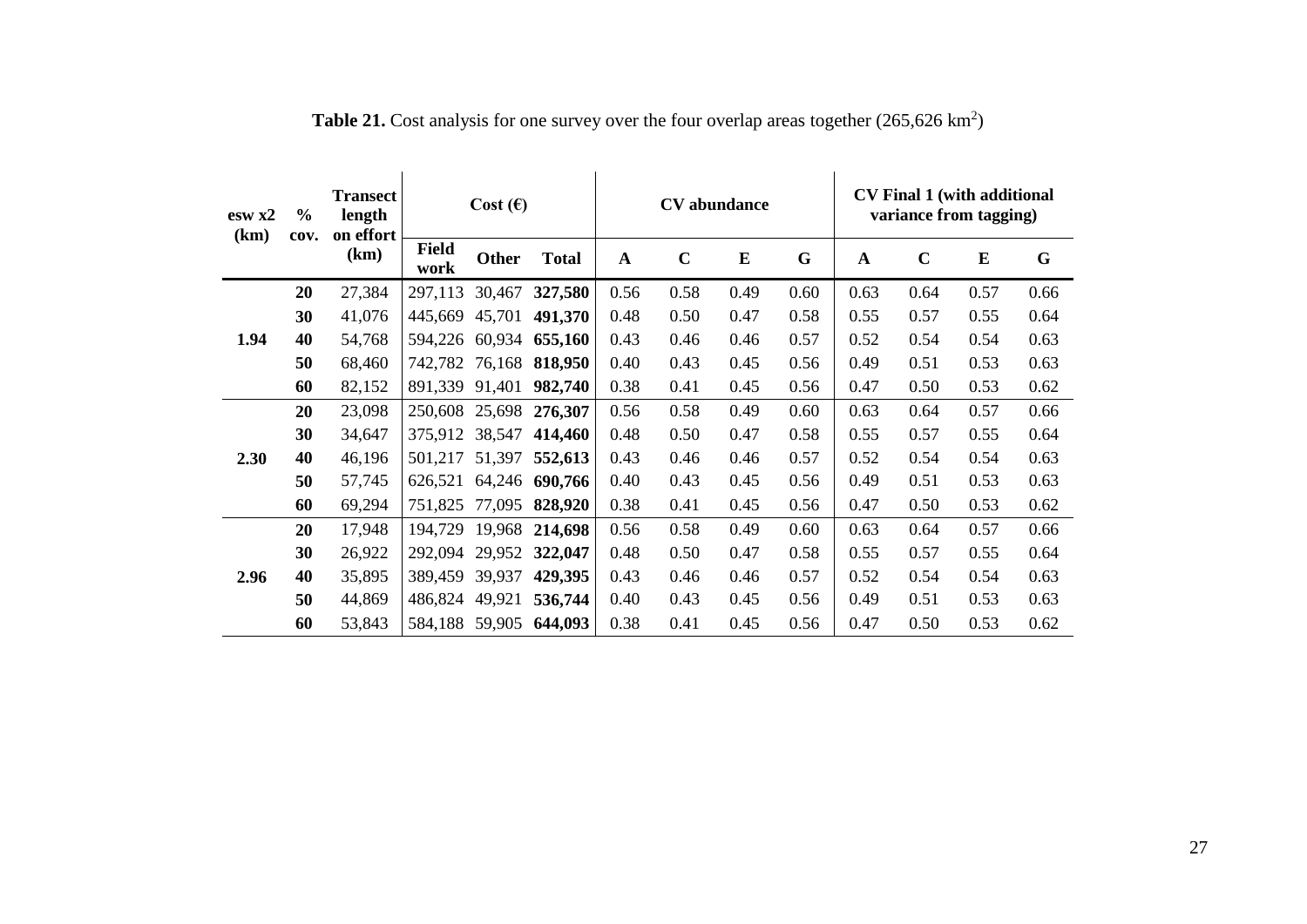| esw x2<br>(km) | $\frac{0}{0}$<br>cov. | <b>Transect</b><br>length<br>on effort | Cost $(\epsilon)$    |        |                | <b>CV</b> abundance |             |      |      | <b>CV Final 1 (with additional</b><br>variance from tagging) |             |      |                                                                                   |
|----------------|-----------------------|----------------------------------------|----------------------|--------|----------------|---------------------|-------------|------|------|--------------------------------------------------------------|-------------|------|-----------------------------------------------------------------------------------|
|                |                       | (km)                                   | <b>Field</b><br>work | Other  | <b>Total</b>   | $\mathbf{A}$        | $\mathbf C$ | E    | G    | $\mathbf{A}$                                                 | $\mathbf C$ | E    | G<br>0.66<br>0.64<br>0.63<br>0.63<br>0.62<br>0.66<br>0.64<br>0.63<br>0.63<br>0.62 |
|                | 20                    | 27,384                                 | 297,113              | 30,467 | 327,580        | 0.56                | 0.58        | 0.49 | 0.60 | 0.63                                                         | 0.64        | 0.57 |                                                                                   |
|                | 30                    | 41,076                                 | 445,669              | 45,701 | 491,370        | 0.48                | 0.50        | 0.47 | 0.58 | 0.55                                                         | 0.57        | 0.55 |                                                                                   |
| 1.94           | 40                    | 54,768                                 | 594,226              | 60,934 | 655,160        | 0.43                | 0.46        | 0.46 | 0.57 | 0.52                                                         | 0.54        | 0.54 |                                                                                   |
|                | 50                    | 68,460                                 | 742,782              | 76,168 | 818,950        | 0.40                | 0.43        | 0.45 | 0.56 | 0.49                                                         | 0.51        | 0.53 |                                                                                   |
|                | 60                    | 82,152                                 | 891,339              | 91,401 | 982,740        | 0.38                | 0.41        | 0.45 | 0.56 | 0.47                                                         | 0.50        | 0.53 |                                                                                   |
|                | 20                    | 23,098                                 | 250,608 25,698       |        | 276,307        | 0.56                | 0.58        | 0.49 | 0.60 | 0.63                                                         | 0.64        | 0.57 |                                                                                   |
|                | 30                    | 34,647                                 | 375,912              | 38,547 | 414,460        | 0.48                | 0.50        | 0.47 | 0.58 | 0.55                                                         | 0.57        | 0.55 |                                                                                   |
| 2.30           | 40                    | 46,196                                 | 501,217              | 51,397 | 552,613        | 0.43                | 0.46        | 0.46 | 0.57 | 0.52                                                         | 0.54        | 0.54 |                                                                                   |
|                | 50                    | 57,745                                 | 626,521              | 64,246 | 690,766        | 0.40                | 0.43        | 0.45 | 0.56 | 0.49                                                         | 0.51        | 0.53 |                                                                                   |
|                | 60                    | 69,294                                 | 751,825 77,095       |        | 828,920        | 0.38                | 0.41        | 0.45 | 0.56 | 0.47                                                         | 0.50        | 0.53 |                                                                                   |
|                | 20                    | 17,948                                 | 194,729              |        | 19,968 214,698 | 0.56                | 0.58        | 0.49 | 0.60 | 0.63                                                         | 0.64        | 0.57 | 0.66                                                                              |
|                | 30                    | 26,922                                 | 292,094 29,952       |        | 322,047        | 0.48                | 0.50        | 0.47 | 0.58 | 0.55                                                         | 0.57        | 0.55 | 0.64                                                                              |
| 2.96           | 40                    | 35,895                                 | 389,459              | 39,937 | 429,395        | 0.43                | 0.46        | 0.46 | 0.57 | 0.52                                                         | 0.54        | 0.54 | 0.63                                                                              |
|                | 50                    | 44,869                                 | 486,824              | 49,921 | 536,744        | 0.40                | 0.43        | 0.45 | 0.56 | 0.49                                                         | 0.51        | 0.53 | 0.63                                                                              |
|                | 60                    | 53,843                                 | 584,188 59,905       |        | 644,093        | 0.38                | 0.41        | 0.45 | 0.56 | 0.47                                                         | 0.50        | 0.53 | 0.62                                                                              |

**Table 21.** Cost analysis for one survey over the four overlap areas together  $(265,626 \text{ km}^2)$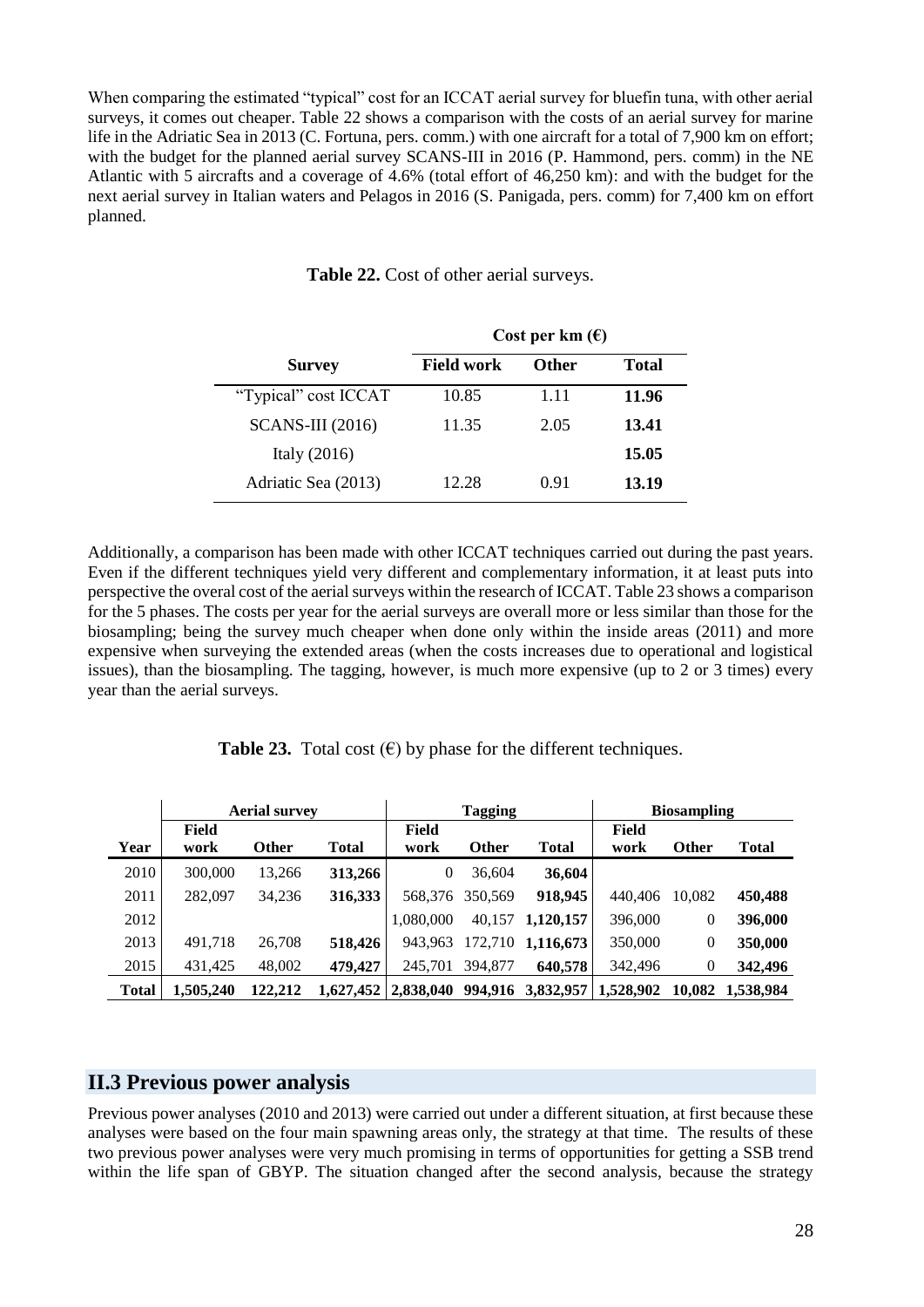When comparing the estimated "typical" cost for an ICCAT aerial survey for bluefin tuna, with other aerial surveys, it comes out cheaper. Table 22 shows a comparison with the costs of an aerial survey for marine life in the Adriatic Sea in 2013 (C. Fortuna, pers. comm.) with one aircraft for a total of 7,900 km on effort; with the budget for the planned aerial survey SCANS-III in 2016 (P. Hammond, pers. comm) in the NE Atlantic with 5 aircrafts and a coverage of 4.6% (total effort of 46,250 km): and with the budget for the next aerial survey in Italian waters and Pelagos in 2016 (S. Panigada, pers. comm) for 7,400 km on effort planned.

|                      | Cost per km $(\epsilon)$ |              |              |  |  |  |  |  |
|----------------------|--------------------------|--------------|--------------|--|--|--|--|--|
| <b>Survey</b>        | <b>Field work</b>        | <b>Other</b> | <b>Total</b> |  |  |  |  |  |
| "Typical" cost ICCAT | 10.85                    | 1.11         | 11.96        |  |  |  |  |  |
| $SCANS-III$ (2016)   | 11.35                    | 2.05         | 13.41        |  |  |  |  |  |
| Italy $(2016)$       |                          |              | 15.05        |  |  |  |  |  |
| Adriatic Sea (2013)  | 12.28                    | 0.91         | 13.19        |  |  |  |  |  |

Additionally, a comparison has been made with other ICCAT techniques carried out during the past years. Even if the different techniques yield very different and complementary information, it at least puts into perspective the overal cost of the aerial surveys within the research of ICCAT. Table 23 shows a comparison for the 5 phases. The costs per year for the aerial surveys are overall more or less similar than those for the biosampling; being the survey much cheaper when done only within the inside areas (2011) and more expensive when surveying the extended areas (when the costs increases due to operational and logistical issues), than the biosampling. The tagging, however, is much more expensive (up to 2 or 3 times) every year than the aerial surveys.

**Table 23.** Total cost  $(\epsilon)$  by phase for the different techniques.

|              | <b>Aerial survey</b> |              |           | <b>Tagging</b> |              |                   | <b>Biosampling</b> |              |                  |
|--------------|----------------------|--------------|-----------|----------------|--------------|-------------------|--------------------|--------------|------------------|
|              | Field                |              |           | Field          |              |                   | Field              |              |                  |
| Year         | work                 | <b>Other</b> | Total     | work           | <b>Other</b> | <b>Total</b>      | work               | <b>Other</b> | <b>Total</b>     |
| 2010         | 300,000              | 13,266       | 313,266   | 0              | 36,604       | 36,604            |                    |              |                  |
| 2011         | 282,097              | 34,236       | 316,333   | 568,376        | 350,569      | 918,945           | 440.406            | 10.082       | 450,488          |
| 2012         |                      |              |           | 1,080,000      | 40,157       | 1.120.157         | 396,000            | 0            | 396,000          |
| 2013         | 491,718              | 26,708       | 518,426   | 943,963        | 172,710      | 1.116.673         | 350,000            | 0            | 350,000          |
| 2015         | 431,425              | 48,002       | 479,427   | 245,701        | 394,877      | 640.578           | 342,496            | $\theta$     | 342,496          |
| <b>Total</b> | 1.505.240            | 122,212      | 1,627,452 | 2,838,040      |              | 994,916 3,832,957 | 1,528,902          |              | 10.082 1.538.984 |

### **II.3 Previous power analysis**

Previous power analyses (2010 and 2013) were carried out under a different situation, at first because these analyses were based on the four main spawning areas only, the strategy at that time. The results of these two previous power analyses were very much promising in terms of opportunities for getting a SSB trend within the life span of GBYP. The situation changed after the second analysis, because the strategy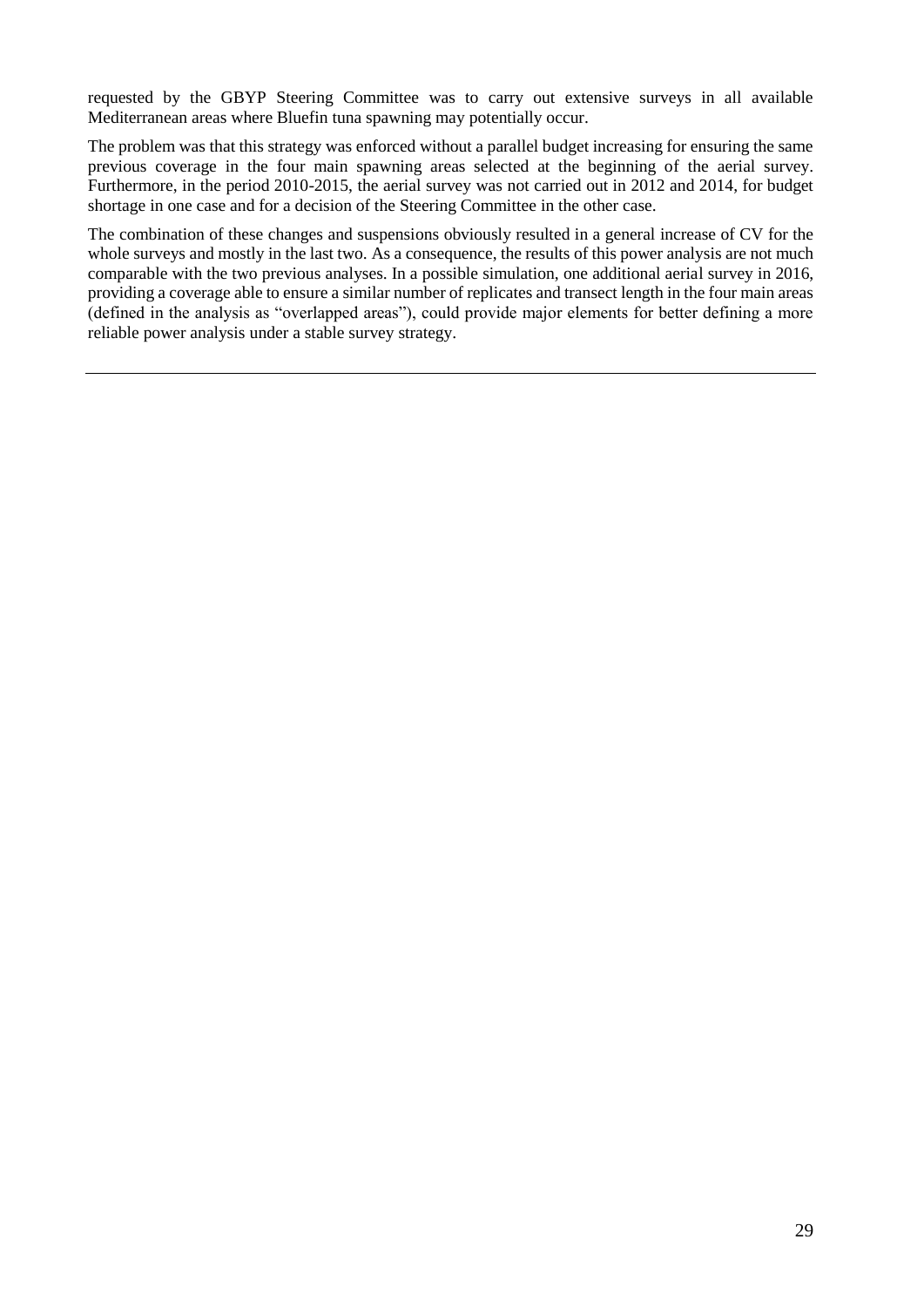requested by the GBYP Steering Committee was to carry out extensive surveys in all available Mediterranean areas where Bluefin tuna spawning may potentially occur.

The problem was that this strategy was enforced without a parallel budget increasing for ensuring the same previous coverage in the four main spawning areas selected at the beginning of the aerial survey. Furthermore, in the period 2010-2015, the aerial survey was not carried out in 2012 and 2014, for budget shortage in one case and for a decision of the Steering Committee in the other case.

The combination of these changes and suspensions obviously resulted in a general increase of CV for the whole surveys and mostly in the last two. As a consequence, the results of this power analysis are not much comparable with the two previous analyses. In a possible simulation, one additional aerial survey in 2016, providing a coverage able to ensure a similar number of replicates and transect length in the four main areas (defined in the analysis as "overlapped areas"), could provide major elements for better defining a more reliable power analysis under a stable survey strategy.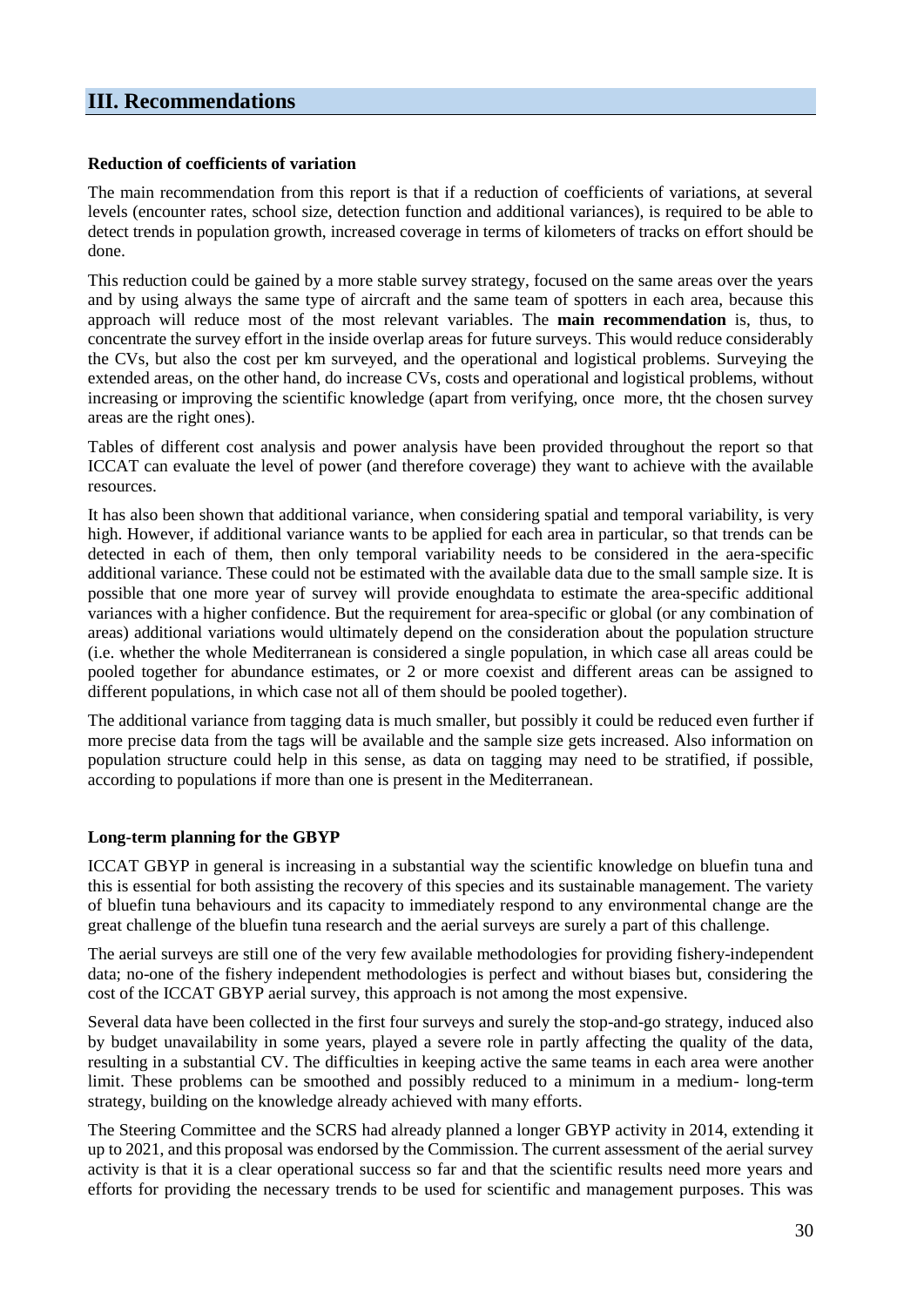### **III. Recommendations**

#### **Reduction of coefficients of variation**

The main recommendation from this report is that if a reduction of coefficients of variations, at several levels (encounter rates, school size, detection function and additional variances), is required to be able to detect trends in population growth, increased coverage in terms of kilometers of tracks on effort should be done.

This reduction could be gained by a more stable survey strategy, focused on the same areas over the years and by using always the same type of aircraft and the same team of spotters in each area, because this approach will reduce most of the most relevant variables. The **main recommendation** is, thus, to concentrate the survey effort in the inside overlap areas for future surveys. This would reduce considerably the CVs, but also the cost per km surveyed, and the operational and logistical problems. Surveying the extended areas, on the other hand, do increase CVs, costs and operational and logistical problems, without increasing or improving the scientific knowledge (apart from verifying, once more, tht the chosen survey areas are the right ones).

Tables of different cost analysis and power analysis have been provided throughout the report so that ICCAT can evaluate the level of power (and therefore coverage) they want to achieve with the available resources.

It has also been shown that additional variance, when considering spatial and temporal variability, is very high. However, if additional variance wants to be applied for each area in particular, so that trends can be detected in each of them, then only temporal variability needs to be considered in the aera-specific additional variance. These could not be estimated with the available data due to the small sample size. It is possible that one more year of survey will provide enoughdata to estimate the area-specific additional variances with a higher confidence. But the requirement for area-specific or global (or any combination of areas) additional variations would ultimately depend on the consideration about the population structure (i.e. whether the whole Mediterranean is considered a single population, in which case all areas could be pooled together for abundance estimates, or 2 or more coexist and different areas can be assigned to different populations, in which case not all of them should be pooled together).

The additional variance from tagging data is much smaller, but possibly it could be reduced even further if more precise data from the tags will be available and the sample size gets increased. Also information on population structure could help in this sense, as data on tagging may need to be stratified, if possible, according to populations if more than one is present in the Mediterranean.

#### **Long-term planning for the GBYP**

ICCAT GBYP in general is increasing in a substantial way the scientific knowledge on bluefin tuna and this is essential for both assisting the recovery of this species and its sustainable management. The variety of bluefin tuna behaviours and its capacity to immediately respond to any environmental change are the great challenge of the bluefin tuna research and the aerial surveys are surely a part of this challenge.

The aerial surveys are still one of the very few available methodologies for providing fishery-independent data; no-one of the fishery independent methodologies is perfect and without biases but, considering the cost of the ICCAT GBYP aerial survey, this approach is not among the most expensive.

Several data have been collected in the first four surveys and surely the stop-and-go strategy, induced also by budget unavailability in some years, played a severe role in partly affecting the quality of the data, resulting in a substantial CV. The difficulties in keeping active the same teams in each area were another limit. These problems can be smoothed and possibly reduced to a minimum in a medium- long-term strategy, building on the knowledge already achieved with many efforts.

The Steering Committee and the SCRS had already planned a longer GBYP activity in 2014, extending it up to 2021, and this proposal was endorsed by the Commission. The current assessment of the aerial survey activity is that it is a clear operational success so far and that the scientific results need more years and efforts for providing the necessary trends to be used for scientific and management purposes. This was